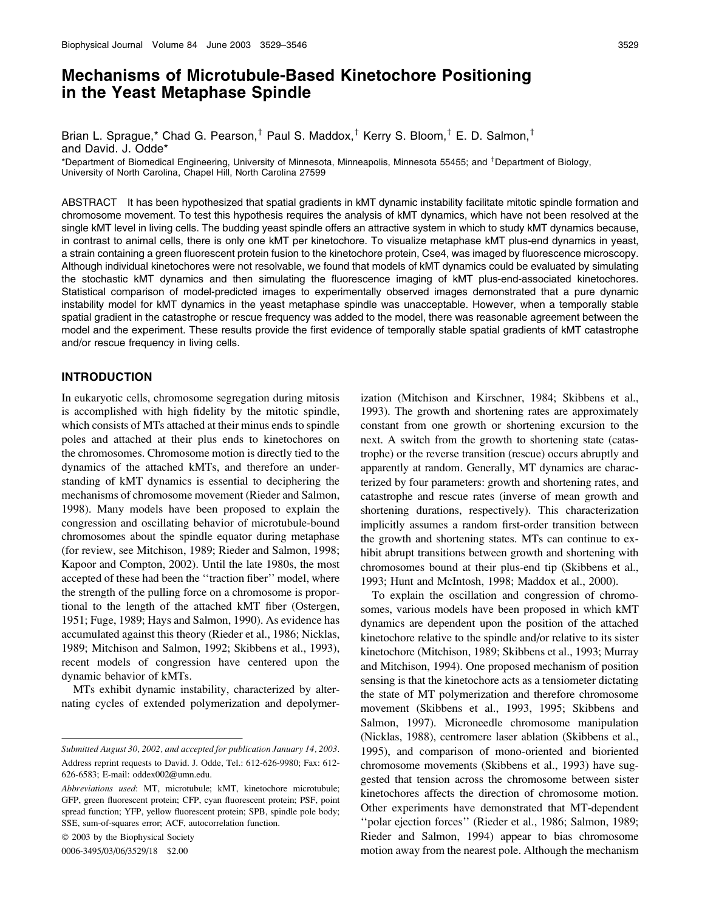# Mechanisms of Microtubule-Based Kinetochore Positioning in the Yeast Metaphase Spindle

Brian L. Sprague,\* Chad G. Pearson,<sup>†</sup> Paul S. Maddox,<sup>†</sup> Kerry S. Bloom,<sup>†</sup> E. D. Salmon,<sup>†</sup> and David. J. Odde\*

\*Department of Biomedical Engineering, University of Minnesota, Minneapolis, Minnesota 55455; and <sup>†</sup>Department of Biology, University of North Carolina, Chapel Hill, North Carolina 27599

ABSTRACT It has been hypothesized that spatial gradients in kMT dynamic instability facilitate mitotic spindle formation and chromosome movement. To test this hypothesis requires the analysis of kMT dynamics, which have not been resolved at the single kMT level in living cells. The budding yeast spindle offers an attractive system in which to study kMT dynamics because, in contrast to animal cells, there is only one kMT per kinetochore. To visualize metaphase kMT plus-end dynamics in yeast, a strain containing a green fluorescent protein fusion to the kinetochore protein, Cse4, was imaged by fluorescence microscopy. Although individual kinetochores were not resolvable, we found that models of kMT dynamics could be evaluated by simulating the stochastic kMT dynamics and then simulating the fluorescence imaging of kMT plus-end-associated kinetochores. Statistical comparison of model-predicted images to experimentally observed images demonstrated that a pure dynamic instability model for kMT dynamics in the yeast metaphase spindle was unacceptable. However, when a temporally stable spatial gradient in the catastrophe or rescue frequency was added to the model, there was reasonable agreement between the model and the experiment. These results provide the first evidence of temporally stable spatial gradients of kMT catastrophe and/or rescue frequency in living cells.

### INTRODUCTION

In eukaryotic cells, chromosome segregation during mitosis is accomplished with high fidelity by the mitotic spindle, which consists of MTs attached at their minus ends to spindle poles and attached at their plus ends to kinetochores on the chromosomes. Chromosome motion is directly tied to the dynamics of the attached kMTs, and therefore an understanding of kMT dynamics is essential to deciphering the mechanisms of chromosome movement (Rieder and Salmon, 1998). Many models have been proposed to explain the congression and oscillating behavior of microtubule-bound chromosomes about the spindle equator during metaphase (for review, see Mitchison, 1989; Rieder and Salmon, 1998; Kapoor and Compton, 2002). Until the late 1980s, the most accepted of these had been the ''traction fiber'' model, where the strength of the pulling force on a chromosome is proportional to the length of the attached kMT fiber (Ostergen, 1951; Fuge, 1989; Hays and Salmon, 1990). As evidence has accumulated against this theory (Rieder et al., 1986; Nicklas, 1989; Mitchison and Salmon, 1992; Skibbens et al., 1993), recent models of congression have centered upon the dynamic behavior of kMTs.

MTs exhibit dynamic instability, characterized by alternating cycles of extended polymerization and depolymer-

2003 by the Biophysical Society

0006-3495/03/06/3529/18 \$2.00

ization (Mitchison and Kirschner, 1984; Skibbens et al., 1993). The growth and shortening rates are approximately constant from one growth or shortening excursion to the next. A switch from the growth to shortening state (catastrophe) or the reverse transition (rescue) occurs abruptly and apparently at random. Generally, MT dynamics are characterized by four parameters: growth and shortening rates, and catastrophe and rescue rates (inverse of mean growth and shortening durations, respectively). This characterization implicitly assumes a random first-order transition between the growth and shortening states. MTs can continue to exhibit abrupt transitions between growth and shortening with chromosomes bound at their plus-end tip (Skibbens et al., 1993; Hunt and McIntosh, 1998; Maddox et al., 2000).

To explain the oscillation and congression of chromosomes, various models have been proposed in which kMT dynamics are dependent upon the position of the attached kinetochore relative to the spindle and/or relative to its sister kinetochore (Mitchison, 1989; Skibbens et al., 1993; Murray and Mitchison, 1994). One proposed mechanism of position sensing is that the kinetochore acts as a tensiometer dictating the state of MT polymerization and therefore chromosome movement (Skibbens et al., 1993, 1995; Skibbens and Salmon, 1997). Microneedle chromosome manipulation (Nicklas, 1988), centromere laser ablation (Skibbens et al., 1995), and comparison of mono-oriented and bioriented chromosome movements (Skibbens et al., 1993) have suggested that tension across the chromosome between sister kinetochores affects the direction of chromosome motion. Other experiments have demonstrated that MT-dependent ''polar ejection forces'' (Rieder et al., 1986; Salmon, 1989; Rieder and Salmon, 1994) appear to bias chromosome motion away from the nearest pole. Although the mechanism

Submitted August 30, 2002, and accepted for publication January 14, 2003. Address reprint requests to David. J. Odde, Tel.: 612-626-9980; Fax: 612- 626-6583; E-mail: oddex002@umn.edu.

Abbreviations used: MT, microtubule; kMT, kinetochore microtubule; GFP, green fluorescent protein; CFP, cyan fluorescent protein; PSF, point spread function; YFP, yellow fluorescent protein; SPB, spindle pole body; SSE, sum-of-squares error; ACF, autocorrelation function.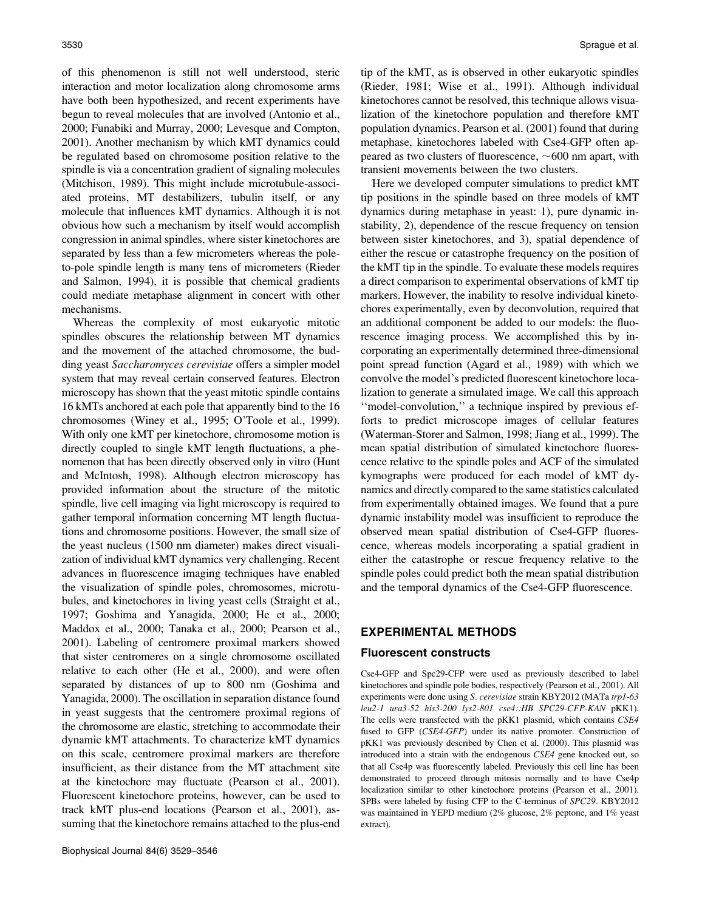of this phenomenon is still not well understood, steric interaction and motor localization along chromosome arms have both been hypothesized, and recent experiments have begun to reveal molecules that are involved (Antonio et al., 2000; Funabiki and Murray, 2000; Levesque and Compton, 2001). Another mechanism by which kMT dynamics could be regulated based on chromosome position relative to the spindle is via a concentration gradient of signaling molecules (Mitchison, 1989). This might include microtubule-associated proteins, MT destabilizers, tubulin itself, or any molecule that influences kMT dynamics. Although it is not obvious how such a mechanism by itself would accomplish congression in animal spindles, where sister kinetochores are separated by less than a few micrometers whereas the poleto-pole spindle length is many tens of micrometers (Rieder and Salmon, 1994), it is possible that chemical gradients could mediate metaphase alignment in concert with other mechanisms.

Whereas the complexity of most eukaryotic mitotic spindles obscures the relationship between MT dynamics and the movement of the attached chromosome, the budding yeast Saccharomyces cerevisiae offers a simpler model system that may reveal certain conserved features. Electron microscopy has shown that the yeast mitotic spindle contains 16 kMTs anchored at each pole that apparently bind to the 16 chromosomes (Winey et al., 1995; O'Toole et al., 1999). With only one kMT per kinetochore, chromosome motion is directly coupled to single kMT length fluctuations, a phenomenon that has been directly observed only in vitro (Hunt and McIntosh, 1998). Although electron microscopy has provided information about the structure of the mitotic spindle, live cell imaging via light microscopy is required to gather temporal information concerning MT length fluctuations and chromosome positions. However, the small size of the yeast nucleus (1500 nm diameter) makes direct visualization of individual kMT dynamics very challenging. Recent advances in fluorescence imaging techniques have enabled the visualization of spindle poles, chromosomes, microtubules, and kinetochores in living yeast cells (Straight et al., 1997; Goshima and Yanagida, 2000; He et al., 2000; Maddox et al., 2000; Tanaka et al., 2000; Pearson et al., 2001). Labeling of centromere proximal markers showed that sister centromeres on a single chromosome oscillated relative to each other (He et al., 2000), and were often separated by distances of up to 800 nm (Goshima and Yanagida, 2000). The oscillation in separation distance found in yeast suggests that the centromere proximal regions of the chromosome are elastic, stretching to accommodate their dynamic kMT attachments. To characterize kMT dynamics on this scale, centromere proximal markers are therefore insufficient, as their distance from the MT attachment site at the kinetochore may fluctuate (Pearson et al., 2001). Fluorescent kinetochore proteins, however, can be used to track kMT plus-end locations (Pearson et al., 2001), assuming that the kinetochore remains attached to the plus-end tip of the kMT, as is observed in other eukaryotic spindles (Rieder, 1981; Wise et al., 1991). Although individual kinetochores cannot be resolved, this technique allows visualization of the kinetochore population and therefore kMT population dynamics. Pearson et al. (2001) found that during metaphase, kinetochores labeled with Cse4-GFP often appeared as two clusters of fluorescence,  $\sim 600$  nm apart, with transient movements between the two clusters.

Here we developed computer simulations to predict kMT tip positions in the spindle based on three models of kMT dynamics during metaphase in yeast: 1), pure dynamic instability, 2), dependence of the rescue frequency on tension between sister kinetochores, and 3), spatial dependence of either the rescue or catastrophe frequency on the position of the kMT tip in the spindle. To evaluate these models requires a direct comparison to experimental observations of kMT tip markers. However, the inability to resolve individual kinetochores experimentally, even by deconvolution, required that an additional component be added to our models: the fluorescence imaging process. We accomplished this by incorporating an experimentally determined three-dimensional point spread function (Agard et al., 1989) with which we convolve the model's predicted fluorescent kinetochore localization to generate a simulated image. We call this approach ''model-convolution,'' a technique inspired by previous efforts to predict microscope images of cellular features (Waterman-Storer and Salmon, 1998; Jiang et al., 1999). The mean spatial distribution of simulated kinetochore fluorescence relative to the spindle poles and ACF of the simulated kymographs were produced for each model of kMT dynamics and directly compared to the same statistics calculated from experimentally obtained images. We found that a pure dynamic instability model was insufficient to reproduce the observed mean spatial distribution of Cse4-GFP fluorescence, whereas models incorporating a spatial gradient in either the catastrophe or rescue frequency relative to the spindle poles could predict both the mean spatial distribution and the temporal dynamics of the Cse4-GFP fluorescence.

# EXPERIMENTAL METHODS

### Fluorescent constructs

Cse4-GFP and Spc29-CFP were used as previously described to label kinetochores and spindle pole bodies, respectively (Pearson et al., 2001). All experiments were done using *S. cerevisiae* strain KBY2012 (MATa trp1-63 leu2-1 ura3-52 his3-200 lys2-801 cse4::HB SPC29-CFP-KAN pKK1). The cells were transfected with the pKK1 plasmid, which contains CSE4 fused to GFP (CSE4-GFP) under its native promoter. Construction of pKK1 was previously described by Chen et al. (2000). This plasmid was introduced into a strain with the endogenous CSE4 gene knocked out, so that all Cse4p was fluorescently labeled. Previously this cell line has been demonstrated to proceed through mitosis normally and to have Cse4p localization similar to other kinetochore proteins (Pearson et al., 2001). SPBs were labeled by fusing CFP to the C-terminus of SPC29. KBY2012 was maintained in YEPD medium (2% glucose, 2% peptone, and 1% yeast extract).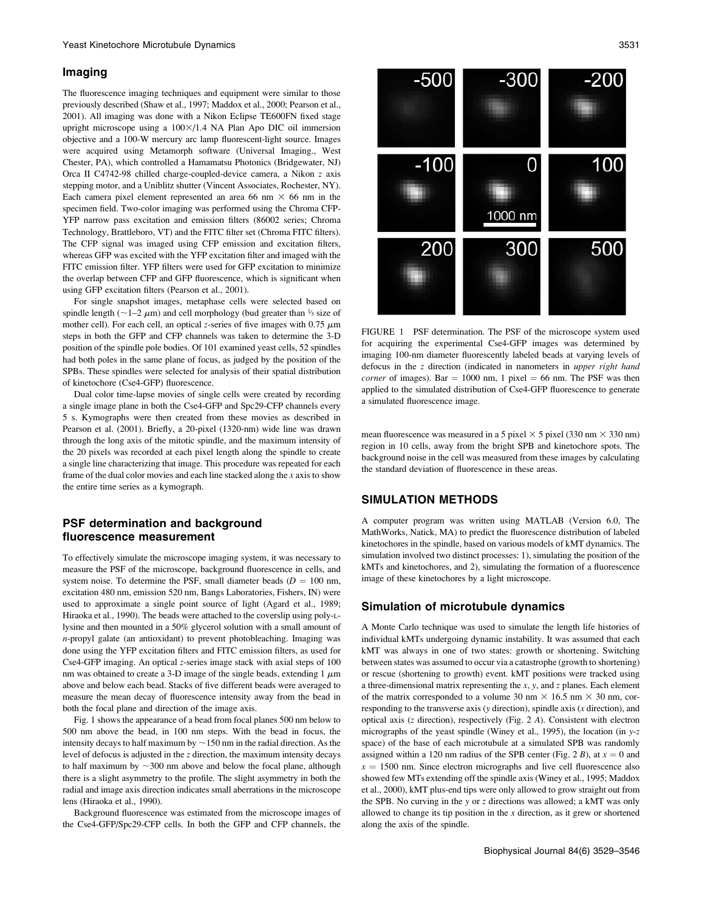### Imaging

The fluorescence imaging techniques and equipment were similar to those previously described (Shaw et al., 1997; Maddox et al., 2000; Pearson et al., 2001). All imaging was done with a Nikon Eclipse TE600FN fixed stage upright microscope using a  $100 \times / 1.4$  NA Plan Apo DIC oil immersion objective and a 100-W mercury arc lamp fluorescent-light source. Images were acquired using Metamorph software (Universal Imaging., West Chester, PA), which controlled a Hamamatsu Photonics (Bridgewater, NJ) Orca II C4742-98 chilled charge-coupled-device camera, a Nikon z axis stepping motor, and a Uniblitz shutter (Vincent Associates, Rochester, NY). Each camera pixel element represented an area 66 nm  $\times$  66 nm in the specimen field. Two-color imaging was performed using the Chroma CFP-YFP narrow pass excitation and emission filters (86002 series; Chroma Technology, Brattleboro, VT) and the FITC filter set (Chroma FITC filters). The CFP signal was imaged using CFP emission and excitation filters, whereas GFP was excited with the YFP excitation filter and imaged with the FITC emission filter. YFP filters were used for GFP excitation to minimize the overlap between CFP and GFP fluorescence, which is significant when using GFP excitation filters (Pearson et al., 2001).

For single snapshot images, metaphase cells were selected based on spindle length ( $\sim$ 1–2  $\mu$ m) and cell morphology (bud greater than <sup>1</sup>/<sub>3</sub> size of mother cell). For each cell, an optical z-series of five images with  $0.75 \mu m$ steps in both the GFP and CFP channels was taken to determine the 3-D position of the spindle pole bodies. Of 101 examined yeast cells, 52 spindles had both poles in the same plane of focus, as judged by the position of the SPBs. These spindles were selected for analysis of their spatial distribution of kinetochore (Cse4-GFP) fluorescence.

Dual color time-lapse movies of single cells were created by recording a single image plane in both the Cse4-GFP and Spc29-CFP channels every 5 s. Kymographs were then created from these movies as described in Pearson et al. (2001). Briefly, a 20-pixel (1320-nm) wide line was drawn through the long axis of the mitotic spindle, and the maximum intensity of the 20 pixels was recorded at each pixel length along the spindle to create a single line characterizing that image. This procedure was repeated for each frame of the dual color movies and each line stacked along the  $x$  axis to show the entire time series as a kymograph.

### PSF determination and background fluorescence measurement

To effectively simulate the microscope imaging system, it was necessary to measure the PSF of the microscope, background fluorescence in cells, and system noise. To determine the PSF, small diameter beads ( $D = 100$  nm, excitation 480 nm, emission 520 nm, Bangs Laboratories, Fishers, IN) were used to approximate a single point source of light (Agard et al., 1989; Hiraoka et al., 1990). The beads were attached to the coverslip using poly-Llysine and then mounted in a 50% glycerol solution with a small amount of n-propyl galate (an antioxidant) to prevent photobleaching. Imaging was done using the YFP excitation filters and FITC emission filters, as used for Cse4-GFP imaging. An optical z-series image stack with axial steps of 100 nm was obtained to create a 3-D image of the single beads, extending 1  $\mu$ m above and below each bead. Stacks of five different beads were averaged to measure the mean decay of fluorescence intensity away from the bead in both the focal plane and direction of the image axis.

Fig. 1 shows the appearance of a bead from focal planes 500 nm below to 500 nm above the bead, in 100 nm steps. With the bead in focus, the intensity decays to half maximum by  $\sim$ 150 nm in the radial direction. As the level of defocus is adjusted in the z direction, the maximum intensity decays to half maximum by  $\sim$ 300 nm above and below the focal plane, although there is a slight asymmetry to the profile. The slight asymmetry in both the radial and image axis direction indicates small aberrations in the microscope lens (Hiraoka et al., 1990).

Background fluorescence was estimated from the microscope images of the Cse4-GFP/Spc29-CFP cells. In both the GFP and CFP channels, the



FIGURE 1 PSF determination. The PSF of the microscope system used for acquiring the experimental Cse4-GFP images was determined by imaging 100-nm diameter fluorescently labeled beads at varying levels of defocus in the z direction (indicated in nanometers in upper right hand *corner* of images). Bar = 1000 nm, 1 pixel = 66 nm. The PSF was then applied to the simulated distribution of Cse4-GFP fluorescence to generate a simulated fluorescence image.

mean fluorescence was measured in a 5 pixel  $\times$  5 pixel (330 nm  $\times$  330 nm) region in 10 cells, away from the bright SPB and kinetochore spots. The background noise in the cell was measured from these images by calculating the standard deviation of fluorescence in these areas.

### SIMULATION METHODS

A computer program was written using MATLAB (Version 6.0, The MathWorks, Natick, MA) to predict the fluorescence distribution of labeled kinetochores in the spindle, based on various models of kMT dynamics. The simulation involved two distinct processes: 1), simulating the position of the kMTs and kinetochores, and 2), simulating the formation of a fluorescence image of these kinetochores by a light microscope.

### Simulation of microtubule dynamics

A Monte Carlo technique was used to simulate the length life histories of individual kMTs undergoing dynamic instability. It was assumed that each kMT was always in one of two states: growth or shortening. Switching between states was assumed to occur via a catastrophe (growth to shortening) or rescue (shortening to growth) event. kMT positions were tracked using a three-dimensional matrix representing the  $x$ ,  $y$ , and  $z$  planes. Each element of the matrix corresponded to a volume 30 nm  $\times$  16.5 nm  $\times$  30 nm, corresponding to the transverse axis (y direction), spindle axis (x direction), and optical axis (z direction), respectively (Fig. 2 A). Consistent with electron micrographs of the yeast spindle (Winey et al., 1995), the location (in  $y-z$ space) of the base of each microtubule at a simulated SPB was randomly assigned within a 120 nm radius of the SPB center (Fig. 2 B), at  $x = 0$  and  $x = 1500$  nm. Since electron micrographs and live cell fluorescence also showed few MTs extending off the spindle axis (Winey et al., 1995; Maddox et al., 2000), kMT plus-end tips were only allowed to grow straight out from the SPB. No curving in the y or z directions was allowed; a kMT was only allowed to change its tip position in the  $x$  direction, as it grew or shortened along the axis of the spindle.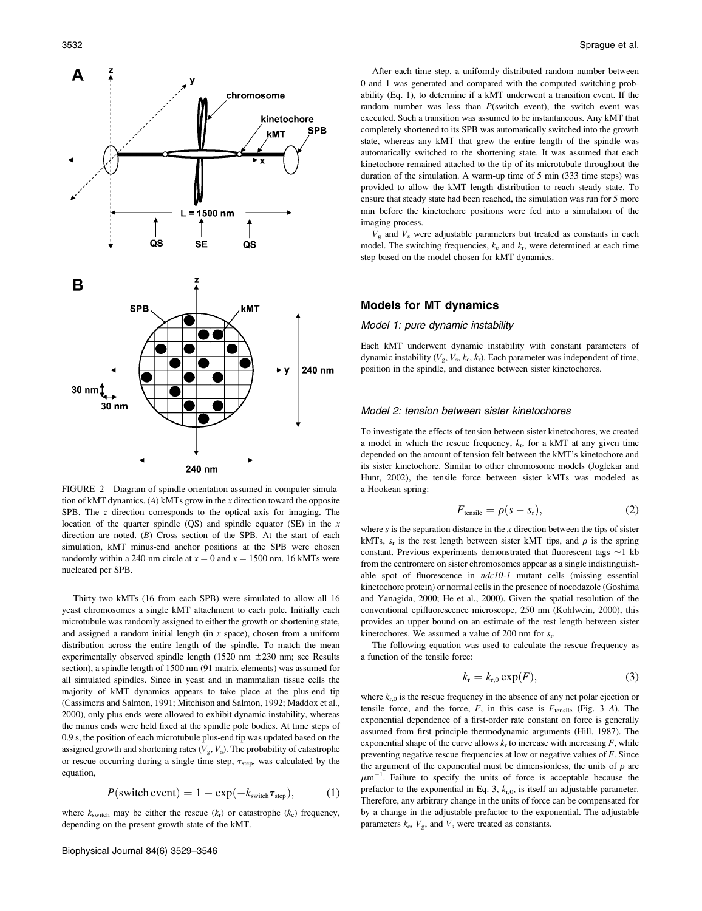

FIGURE 2 Diagram of spindle orientation assumed in computer simulation of kMT dynamics.  $(A)$  kMTs grow in the x direction toward the opposite SPB. The z direction corresponds to the optical axis for imaging. The location of the quarter spindle  $(QS)$  and spindle equator (SE) in the x direction are noted. (B) Cross section of the SPB. At the start of each simulation, kMT minus-end anchor positions at the SPB were chosen randomly within a 240-nm circle at  $x = 0$  and  $x = 1500$  nm. 16 kMTs were nucleated per SPB.

Thirty-two kMTs (16 from each SPB) were simulated to allow all 16 yeast chromosomes a single kMT attachment to each pole. Initially each microtubule was randomly assigned to either the growth or shortening state, and assigned a random initial length (in  $x$  space), chosen from a uniform distribution across the entire length of the spindle. To match the mean experimentally observed spindle length (1520 nm  $\pm$ 230 nm; see Results section), a spindle length of 1500 nm (91 matrix elements) was assumed for all simulated spindles. Since in yeast and in mammalian tissue cells the majority of kMT dynamics appears to take place at the plus-end tip (Cassimeris and Salmon, 1991; Mitchison and Salmon, 1992; Maddox et al., 2000), only plus ends were allowed to exhibit dynamic instability, whereas the minus ends were held fixed at the spindle pole bodies. At time steps of 0.9 s, the position of each microtubule plus-end tip was updated based on the assigned growth and shortening rates  $(V_g, V_s)$ . The probability of catastrophe or rescue occurring during a single time step,  $\tau_{step}$ , was calculated by the equation,

$$
P(\text{switch event}) = 1 - \exp(-k_{\text{switch}}\tau_{\text{step}}), \tag{1}
$$

where  $k_{switch}$  may be either the rescue  $(k_r)$  or catastrophe  $(k_c)$  frequency, depending on the present growth state of the kMT.

Biophysical Journal 84(6) 3529–3546

After each time step, a uniformly distributed random number between 0 and 1 was generated and compared with the computed switching probability (Eq. 1), to determine if a kMT underwent a transition event. If the random number was less than  $P$ (switch event), the switch event was executed. Such a transition was assumed to be instantaneous. Any kMT that completely shortened to its SPB was automatically switched into the growth state, whereas any kMT that grew the entire length of the spindle was automatically switched to the shortening state. It was assumed that each kinetochore remained attached to the tip of its microtubule throughout the duration of the simulation. A warm-up time of 5 min (333 time steps) was provided to allow the kMT length distribution to reach steady state. To ensure that steady state had been reached, the simulation was run for 5 more min before the kinetochore positions were fed into a simulation of the imaging process.

 $V<sub>g</sub>$  and  $V<sub>s</sub>$  were adjustable parameters but treated as constants in each model. The switching frequencies,  $k_c$  and  $k_r$ , were determined at each time step based on the model chosen for kMT dynamics.

### Models for MT dynamics

#### Model 1: pure dynamic instability

Each kMT underwent dynamic instability with constant parameters of dynamic instability  $(V_g, V_s, k_c, k_r)$ . Each parameter was independent of time, position in the spindle, and distance between sister kinetochores.

#### Model 2: tension between sister kinetochores

To investigate the effects of tension between sister kinetochores, we created a model in which the rescue frequency,  $k_r$ , for a kMT at any given time depended on the amount of tension felt between the kMT's kinetochore and its sister kinetochore. Similar to other chromosome models (Joglekar and Hunt, 2002), the tensile force between sister kMTs was modeled as a Hookean spring:

$$
F_{\text{tensile}} = \rho(s - s_{\text{r}}),\tag{2}
$$

where  $s$  is the separation distance in the  $x$  direction between the tips of sister kMTs,  $s_r$  is the rest length between sister kMT tips, and  $\rho$  is the spring constant. Previous experiments demonstrated that fluorescent tags  $\sim$ 1 kb from the centromere on sister chromosomes appear as a single indistinguishable spot of fluorescence in  $ndc10-1$  mutant cells (missing essential kinetochore protein) or normal cells in the presence of nocodazole (Goshima and Yanagida, 2000; He et al., 2000). Given the spatial resolution of the conventional epifluorescence microscope, 250 nm (Kohlwein, 2000), this provides an upper bound on an estimate of the rest length between sister kinetochores. We assumed a value of 200 nm for  $s_r$ .

The following equation was used to calculate the rescue frequency as a function of the tensile force:

$$
k_{\rm r} = k_{\rm r,0} \exp(F),\tag{3}
$$

where  $k_{r,0}$  is the rescue frequency in the absence of any net polar ejection or tensile force, and the force,  $F$ , in this case is  $F_{\text{tensile}}$  (Fig. 3 A). The exponential dependence of a first-order rate constant on force is generally assumed from first principle thermodynamic arguments (Hill, 1987). The exponential shape of the curve allows  $k_r$  to increase with increasing  $F$ , while preventing negative rescue frequencies at low or negative values of F. Since the argument of the exponential must be dimensionless, the units of  $\rho$  are  $\mu$ m<sup>-1</sup>. Failure to specify the units of force is acceptable because the prefactor to the exponential in Eq. 3,  $k_{r,0}$ , is itself an adjustable parameter. Therefore, any arbitrary change in the units of force can be compensated for by a change in the adjustable prefactor to the exponential. The adjustable parameters  $k_c$ ,  $V_g$ , and  $V_s$  were treated as constants.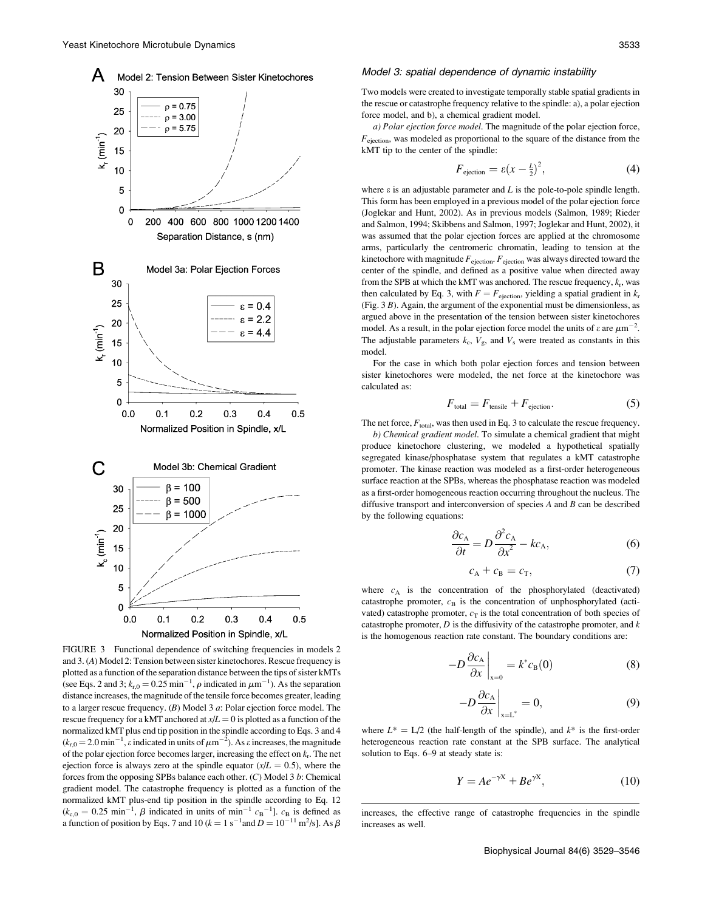

FIGURE 3 Functional dependence of switching frequencies in models 2 and 3. (A) Model 2: Tension between sister kinetochores. Rescue frequency is plotted as a function of the separation distance between the tips of sister kMTs (see Eqs. 2 and 3;  $k_{r,0} = 0.25 \text{ min}^{-1}$ ,  $\rho$  indicated in  $\mu \text{m}^{-1}$ ). As the separation distance increases, the magnitude of the tensile force becomes greater, leading to a larger rescue frequency.  $(B)$  Model 3  $a$ : Polar ejection force model. The rescue frequency for a kMT anchored at  $x/L = 0$  is plotted as a function of the normalized kMT plus end tip position in the spindle according to Eqs. 3 and 4  $(k_{r,0} = 2.0 \text{ min}^{-1}, \varepsilon \text{ indicated in units of } \mu \text{m}^{-2})$ . As  $\varepsilon$  increases, the magnitude of the polar ejection force becomes larger, increasing the effect on  $k_r$ . The net ejection force is always zero at the spindle equator  $(x/L = 0.5)$ , where the forces from the opposing SPBs balance each other. (C) Model 3 b: Chemical gradient model. The catastrophe frequency is plotted as a function of the normalized kMT plus-end tip position in the spindle according to Eq. 12  $(k_{c,0} = 0.25 \text{ min}^{-1}, \beta \text{ indicated in units of min}^{-1} c_B^{-1}]$ .  $c_B$  is defined as a function of position by Eqs. 7 and 10 ( $k = 1$  s<sup>-1</sup> and  $D = 10^{-11}$  m<sup>2</sup>/s]. As  $\beta$ 

Normalized Position in Spindle, x/L

#### Model 3: spatial dependence of dynamic instability

Two models were created to investigate temporally stable spatial gradients in the rescue or catastrophe frequency relative to the spindle: a), a polar ejection force model, and b), a chemical gradient model.

a) Polar ejection force model. The magnitude of the polar ejection force,  $F_{ejection}$ , was modeled as proportional to the square of the distance from the kMT tip to the center of the spindle:

$$
F_{\text{ejection}} = \varepsilon (x - \frac{L}{2})^2, \tag{4}
$$

where  $\varepsilon$  is an adjustable parameter and  $L$  is the pole-to-pole spindle length. This form has been employed in a previous model of the polar ejection force (Joglekar and Hunt, 2002). As in previous models (Salmon, 1989; Rieder and Salmon, 1994; Skibbens and Salmon, 1997; Joglekar and Hunt, 2002), it was assumed that the polar ejection forces are applied at the chromosome arms, particularly the centromeric chromatin, leading to tension at the kinetochore with magnitude  $\mathcal{F}_{\rm ejection}$  .  $\mathcal{F}_{\rm ejection}$  was always directed toward the center of the spindle, and defined as a positive value when directed away from the SPB at which the kMT was anchored. The rescue frequency,  $k_r$ , was then calculated by Eq. 3, with  $F = F_{ejection}$ , yielding a spatial gradient in  $k_r$ (Fig. 3 B). Again, the argument of the exponential must be dimensionless, as argued above in the presentation of the tension between sister kinetochores model. As a result, in the polar ejection force model the units of  $\varepsilon$  are  $\mu$ m<sup>-2</sup>. The adjustable parameters  $k_c$ ,  $V_g$ , and  $V_s$  were treated as constants in this model.

For the case in which both polar ejection forces and tension between sister kinetochores were modeled, the net force at the kinetochore was calculated as:

$$
F_{\text{total}} = F_{\text{tensile}} + F_{\text{ejection}}.\tag{5}
$$

The net force,  $F_{\text{total}}$ , was then used in Eq. 3 to calculate the rescue frequency.

b) Chemical gradient model. To simulate a chemical gradient that might produce kinetochore clustering, we modeled a hypothetical spatially segregated kinase/phosphatase system that regulates a kMT catastrophe promoter. The kinase reaction was modeled as a first-order heterogeneous surface reaction at the SPBs, whereas the phosphatase reaction was modeled as a first-order homogeneous reaction occurring throughout the nucleus. The diffusive transport and interconversion of species  $A$  and  $B$  can be described by the following equations:

$$
\frac{\partial c_{A}}{\partial t} = D \frac{\partial^{2} c_{A}}{\partial x^{2}} - kc_{A},
$$
\n(6)

$$
c_{A} + c_{B} = c_{T}, \qquad (7)
$$

where  $c_A$  is the concentration of the phosphorylated (deactivated) catastrophe promoter,  $c_B$  is the concentration of unphosphorylated (activated) catastrophe promoter,  $c_T$  is the total concentration of both species of catastrophe promoter,  $D$  is the diffusivity of the catastrophe promoter, and  $k$ is the homogenous reaction rate constant. The boundary conditions are:

$$
-D\frac{\partial c_{\mathbf{A}}}{\partial x}\bigg|_{x=0} = k^* c_{\mathbf{B}}(0) \tag{8}
$$

$$
-D\frac{\partial c_{\mathbf{A}}}{\partial x}\bigg|_{\mathbf{x}=\mathbf{L}^*} = 0,\tag{9}
$$

where  $L^* = L/2$  (the half-length of the spindle), and  $k^*$  is the first-order heterogeneous reaction rate constant at the SPB surface. The analytical solution to Eqs. 6–9 at steady state is:

$$
Y = Ae^{-\gamma X} + Be^{\gamma X},\tag{10}
$$

increases, the effective range of catastrophe frequencies in the spindle increases as well.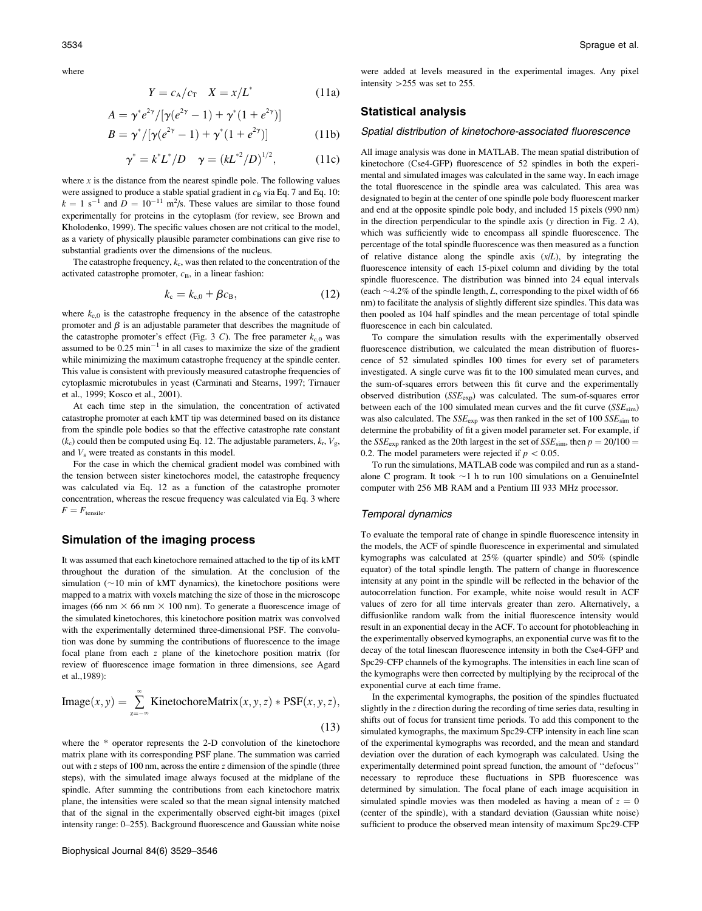where

$$
Y = c_{A}/c_{T} \quad X = x/L^{*} \tag{11a}
$$

$$
A = \gamma^* e^{2\gamma} / [\gamma(e^{2\gamma} - 1) + \gamma^* (1 + e^{2\gamma})]
$$
  
\n
$$
B = \gamma^* / [\gamma(e^{2\gamma} - 1) + \gamma^* (1 + e^{2\gamma})]
$$
\n(11b)

$$
\gamma^* = k^* L^* / D \quad \gamma = (k L^{*2} / D)^{1/2},
$$
\n(11c)

where  $x$  is the distance from the nearest spindle pole. The following values were assigned to produce a stable spatial gradient in  $c_B$  via Eq. 7 and Eq. 10:  $k = 1$  s<sup>-1</sup> and  $D = 10^{-11}$  m<sup>2</sup>/s. These values are similar to those found experimentally for proteins in the cytoplasm (for review, see Brown and Kholodenko, 1999). The specific values chosen are not critical to the model, as a variety of physically plausible parameter combinations can give rise to substantial gradients over the dimensions of the nucleus.

The catastrophe frequency,  $k_c$ , was then related to the concentration of the activated catastrophe promoter,  $c_B$ , in a linear fashion:

$$
k_{\rm c} = k_{\rm c,0} + \beta c_{\rm B},\tag{12}
$$

where  $k_{c,0}$  is the catastrophe frequency in the absence of the catastrophe promoter and  $\beta$  is an adjustable parameter that describes the magnitude of the catastrophe promoter's effect (Fig. 3 C). The free parameter  $k_{c,0}$  was assumed to be  $0.25$  min<sup>-1</sup> in all cases to maximize the size of the gradient while minimizing the maximum catastrophe frequency at the spindle center. This value is consistent with previously measured catastrophe frequencies of cytoplasmic microtubules in yeast (Carminati and Stearns, 1997; Tirnauer et al., 1999; Kosco et al., 2001).

At each time step in the simulation, the concentration of activated catastrophe promoter at each kMT tip was determined based on its distance from the spindle pole bodies so that the effective catastrophe rate constant  $(k_c)$  could then be computed using Eq. 12. The adjustable parameters,  $k_r$ ,  $V_g$ , and  $V<sub>s</sub>$  were treated as constants in this model.

For the case in which the chemical gradient model was combined with the tension between sister kinetochores model, the catastrophe frequency was calculated via Eq. 12 as a function of the catastrophe promoter concentration, whereas the rescue frequency was calculated via Eq. 3 where  $F = F_{\text{tensile}}$ .

### Simulation of the imaging process

It was assumed that each kinetochore remained attached to the tip of its kMT throughout the duration of the simulation. At the conclusion of the simulation  $(\sim10 \text{ min of kMT dynamics})$ , the kinetochore positions were mapped to a matrix with voxels matching the size of those in the microscope images (66 nm  $\times$  66 nm  $\times$  100 nm). To generate a fluorescence image of the simulated kinetochores, this kinetochore position matrix was convolved with the experimentally determined three-dimensional PSF. The convolution was done by summing the contributions of fluorescence to the image focal plane from each z plane of the kinetochore position matrix (for review of fluorescence image formation in three dimensions, see Agard et al.,1989):

Image
$$
(x, y) = \sum_{z=-\infty}^{\infty}
$$
KinetochoreMatrix $(x, y, z) * PSF(x, y, z)$ , (13)

where the \* operator represents the 2-D convolution of the kinetochore matrix plane with its corresponding PSF plane. The summation was carried out with z steps of 100 nm, across the entire z dimension of the spindle (three steps), with the simulated image always focused at the midplane of the spindle. After summing the contributions from each kinetochore matrix plane, the intensities were scaled so that the mean signal intensity matched that of the signal in the experimentally observed eight-bit images (pixel intensity range: 0–255). Background fluorescence and Gaussian white noise were added at levels measured in the experimental images. Any pixel intensity  $>255$  was set to 255.

### Statistical analysis

#### Spatial distribution of kinetochore-associated fluorescence

All image analysis was done in MATLAB. The mean spatial distribution of kinetochore (Cse4-GFP) fluorescence of 52 spindles in both the experimental and simulated images was calculated in the same way. In each image the total fluorescence in the spindle area was calculated. This area was designated to begin at the center of one spindle pole body fluorescent marker and end at the opposite spindle pole body, and included 15 pixels (990 nm) in the direction perpendicular to the spindle axis ( $y$  direction in Fig. 2 A), which was sufficiently wide to encompass all spindle fluorescence. The percentage of the total spindle fluorescence was then measured as a function of relative distance along the spindle axis  $(x/L)$ , by integrating the fluorescence intensity of each 15-pixel column and dividing by the total spindle fluorescence. The distribution was binned into 24 equal intervals (each  $\sim$  4.2% of the spindle length, L, corresponding to the pixel width of 66 nm) to facilitate the analysis of slightly different size spindles. This data was then pooled as 104 half spindles and the mean percentage of total spindle fluorescence in each bin calculated.

To compare the simulation results with the experimentally observed fluorescence distribution, we calculated the mean distribution of fluorescence of 52 simulated spindles 100 times for every set of parameters investigated. A single curve was fit to the 100 simulated mean curves, and the sum-of-squares errors between this fit curve and the experimentally observed distribution  $(SSE_{exp})$  was calculated. The sum-of-squares error between each of the 100 simulated mean curves and the fit curve  $(SSE_{sim})$ was also calculated. The  $SSE_{\rm exp}$  was then ranked in the set of 100  $SSE_{\rm sim}$  to determine the probability of fit a given model parameter set. For example, if the  $SSE_{\text{exp}}$  ranked as the 20th largest in the set of  $SSE_{\text{sim}}$ , then  $p = 20/100 =$ 0.2. The model parameters were rejected if  $p < 0.05$ .

To run the simulations, MATLAB code was compiled and run as a standalone C program. It took  $\sim$ 1 h to run 100 simulations on a GenuineIntel computer with 256 MB RAM and a Pentium III 933 MHz processor.

#### Temporal dynamics

To evaluate the temporal rate of change in spindle fluorescence intensity in the models, the ACF of spindle fluorescence in experimental and simulated kymographs was calculated at 25% (quarter spindle) and 50% (spindle equator) of the total spindle length. The pattern of change in fluorescence intensity at any point in the spindle will be reflected in the behavior of the autocorrelation function. For example, white noise would result in ACF values of zero for all time intervals greater than zero. Alternatively, a diffusionlike random walk from the initial fluorescence intensity would result in an exponential decay in the ACF. To account for photobleaching in the experimentally observed kymographs, an exponential curve was fit to the decay of the total linescan fluorescence intensity in both the Cse4-GFP and Spc29-CFP channels of the kymographs. The intensities in each line scan of the kymographs were then corrected by multiplying by the reciprocal of the exponential curve at each time frame.

In the experimental kymographs, the position of the spindles fluctuated slightly in the z direction during the recording of time series data, resulting in shifts out of focus for transient time periods. To add this component to the simulated kymographs, the maximum Spc29-CFP intensity in each line scan of the experimental kymographs was recorded, and the mean and standard deviation over the duration of each kymograph was calculated. Using the experimentally determined point spread function, the amount of ''defocus'' necessary to reproduce these fluctuations in SPB fluorescence was determined by simulation. The focal plane of each image acquisition in simulated spindle movies was then modeled as having a mean of  $z = 0$ (center of the spindle), with a standard deviation (Gaussian white noise) sufficient to produce the observed mean intensity of maximum Spc29-CFP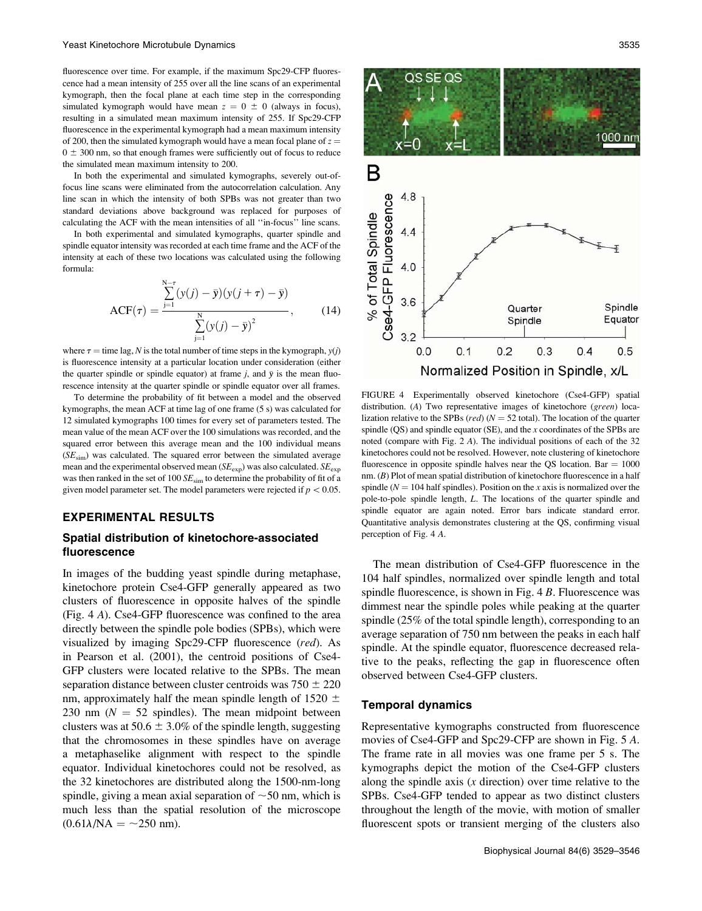fluorescence over time. For example, if the maximum Spc29-CFP fluorescence had a mean intensity of 255 over all the line scans of an experimental kymograph, then the focal plane at each time step in the corresponding simulated kymograph would have mean  $z = 0 \pm 0$  (always in focus), resulting in a simulated mean maximum intensity of 255. If Spc29-CFP fluorescence in the experimental kymograph had a mean maximum intensity of 200, then the simulated kymograph would have a mean focal plane of  $z =$  $0 \pm 300$  nm, so that enough frames were sufficiently out of focus to reduce the simulated mean maximum intensity to 200.

In both the experimental and simulated kymographs, severely out-offocus line scans were eliminated from the autocorrelation calculation. Any line scan in which the intensity of both SPBs was not greater than two standard deviations above background was replaced for purposes of calculating the ACF with the mean intensities of all ''in-focus'' line scans.

In both experimental and simulated kymographs, quarter spindle and spindle equator intensity was recorded at each time frame and the ACF of the intensity at each of these two locations was calculated using the following formula:

$$
\text{ACF}(\tau) = \frac{\sum_{j=1}^{N-\tau} (y(j) - \bar{y})(y(j+\tau) - \bar{y})}{\sum_{j=1}^{N} (y(j) - \bar{y})^2},\tag{14}
$$

where  $\tau$  = time lag, N is the total number of time steps in the kymograph,  $y(j)$ is fluorescence intensity at a particular location under consideration (either the quarter spindle or spindle equator) at frame *i*, and  $\bar{v}$  is the mean fluorescence intensity at the quarter spindle or spindle equator over all frames.

To determine the probability of fit between a model and the observed kymographs, the mean ACF at time lag of one frame (5 s) was calculated for 12 simulated kymographs 100 times for every set of parameters tested. The mean value of the mean ACF over the 100 simulations was recorded, and the squared error between this average mean and the 100 individual means  $(SE_{sim})$  was calculated. The squared error between the simulated average mean and the experimental observed mean ( $SE_{\text{exp}}$ ) was also calculated.  $SE_{\text{exp}}$ was then ranked in the set of 100  $SE_{sim}$  to determine the probability of fit of a given model parameter set. The model parameters were rejected if  $p < 0.05$ .

### EXPERIMENTAL RESULTS

# Spatial distribution of kinetochore-associated fluorescence

In images of the budding yeast spindle during metaphase, kinetochore protein Cse4-GFP generally appeared as two clusters of fluorescence in opposite halves of the spindle (Fig. 4 A). Cse4-GFP fluorescence was confined to the area directly between the spindle pole bodies (SPBs), which were visualized by imaging Spc29-CFP fluorescence (red). As in Pearson et al. (2001), the centroid positions of Cse4- GFP clusters were located relative to the SPBs. The mean separation distance between cluster centroids was  $750 \pm 220$ nm, approximately half the mean spindle length of  $1520 \pm$ 230 nm ( $N = 52$  spindles). The mean midpoint between clusters was at 50.6  $\pm$  3.0% of the spindle length, suggesting that the chromosomes in these spindles have on average a metaphaselike alignment with respect to the spindle equator. Individual kinetochores could not be resolved, as the 32 kinetochores are distributed along the 1500-nm-long spindle, giving a mean axial separation of  $\sim$  50 nm, which is much less than the spatial resolution of the microscope  $(0.61\lambda/NA = -250$  nm).



FIGURE 4 Experimentally observed kinetochore (Cse4-GFP) spatial distribution. (A) Two representative images of kinetochore (green) localization relative to the SPBs (red) ( $N = 52$  total). The location of the quarter spindle (QS) and spindle equator (SE), and the x coordinates of the SPBs are noted (compare with Fig. 2 A). The individual positions of each of the 32 kinetochores could not be resolved. However, note clustering of kinetochore fluorescence in opposite spindle halves near the QS location. Bar  $= 1000$ nm. (B) Plot of mean spatial distribution of kinetochore fluorescence in a half spindle ( $N = 104$  half spindles). Position on the x axis is normalized over the pole-to-pole spindle length, L. The locations of the quarter spindle and spindle equator are again noted. Error bars indicate standard error. Quantitative analysis demonstrates clustering at the QS, confirming visual perception of Fig. 4 A.

The mean distribution of Cse4-GFP fluorescence in the 104 half spindles, normalized over spindle length and total spindle fluorescence, is shown in Fig. 4 B. Fluorescence was dimmest near the spindle poles while peaking at the quarter spindle (25% of the total spindle length), corresponding to an average separation of 750 nm between the peaks in each half spindle. At the spindle equator, fluorescence decreased relative to the peaks, reflecting the gap in fluorescence often observed between Cse4-GFP clusters.

#### Temporal dynamics

Representative kymographs constructed from fluorescence movies of Cse4-GFP and Spc29-CFP are shown in Fig. 5 A. The frame rate in all movies was one frame per 5 s. The kymographs depict the motion of the Cse4-GFP clusters along the spindle axis  $(x$  direction) over time relative to the SPBs. Cse4-GFP tended to appear as two distinct clusters throughout the length of the movie, with motion of smaller fluorescent spots or transient merging of the clusters also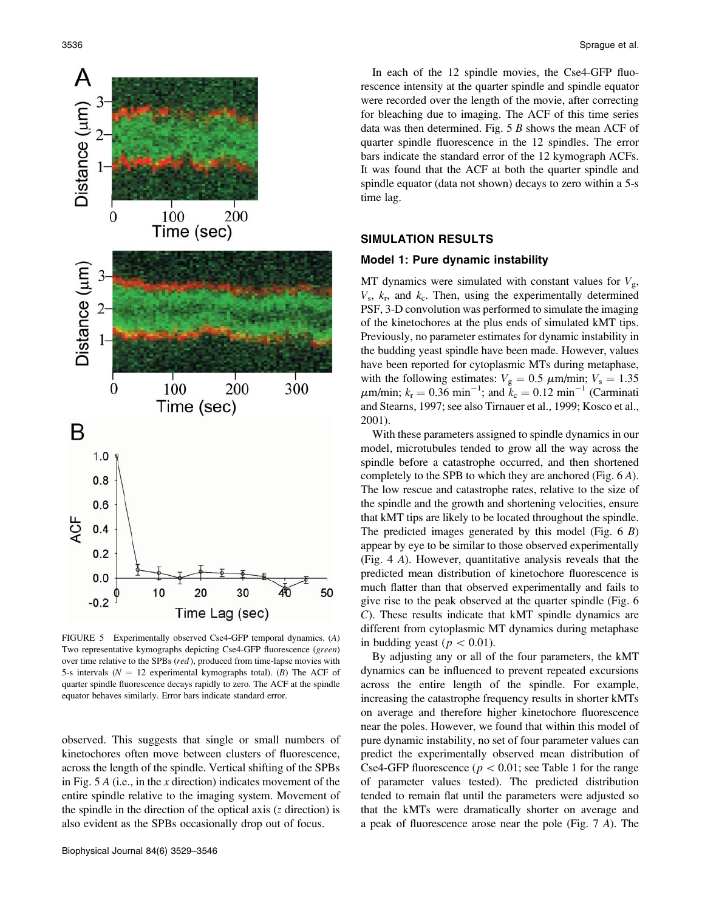

FIGURE 5 Experimentally observed Cse4-GFP temporal dynamics. (A) Two representative kymographs depicting Cse4-GFP fluorescence (green) over time relative to the SPBs (red), produced from time-lapse movies with 5-s intervals ( $N = 12$  experimental kymographs total). (B) The ACF of quarter spindle fluorescence decays rapidly to zero. The ACF at the spindle equator behaves similarly. Error bars indicate standard error.

observed. This suggests that single or small numbers of kinetochores often move between clusters of fluorescence, across the length of the spindle. Vertical shifting of the SPBs in Fig.  $5A$  (i.e., in the x direction) indicates movement of the entire spindle relative to the imaging system. Movement of the spindle in the direction of the optical axis (z direction) is also evident as the SPBs occasionally drop out of focus.

In each of the 12 spindle movies, the Cse4-GFP fluorescence intensity at the quarter spindle and spindle equator were recorded over the length of the movie, after correcting for bleaching due to imaging. The ACF of this time series data was then determined. Fig.  $5 B$  shows the mean ACF of quarter spindle fluorescence in the 12 spindles. The error bars indicate the standard error of the 12 kymograph ACFs. It was found that the ACF at both the quarter spindle and spindle equator (data not shown) decays to zero within a 5-s time lag.

# SIMULATION RESULTS

#### Model 1: Pure dynamic instability

MT dynamics were simulated with constant values for  $V_{\rm g}$ ,  $V_s$ ,  $k_r$ , and  $k_c$ . Then, using the experimentally determined PSF, 3-D convolution was performed to simulate the imaging of the kinetochores at the plus ends of simulated kMT tips. Previously, no parameter estimates for dynamic instability in the budding yeast spindle have been made. However, values have been reported for cytoplasmic MTs during metaphase, with the following estimates:  $V_g = 0.5 \mu m/min$ ;  $V_s = 1.35$  $\mu$ m/min;  $k_r = 0.36 \text{ min}^{-1}$ ; and  $\tilde{k}_c = 0.12 \text{ min}^{-1}$  (Carminati and Stearns, 1997; see also Tirnauer et al., 1999; Kosco et al., 2001).

With these parameters assigned to spindle dynamics in our model, microtubules tended to grow all the way across the spindle before a catastrophe occurred, and then shortened completely to the SPB to which they are anchored (Fig. 6 A). The low rescue and catastrophe rates, relative to the size of the spindle and the growth and shortening velocities, ensure that kMT tips are likely to be located throughout the spindle. The predicted images generated by this model (Fig.  $6 \, B$ ) appear by eye to be similar to those observed experimentally (Fig. 4 A). However, quantitative analysis reveals that the predicted mean distribution of kinetochore fluorescence is much flatter than that observed experimentally and fails to give rise to the peak observed at the quarter spindle (Fig. 6 C). These results indicate that kMT spindle dynamics are different from cytoplasmic MT dynamics during metaphase in budding yeast ( $p < 0.01$ ).

By adjusting any or all of the four parameters, the kMT dynamics can be influenced to prevent repeated excursions across the entire length of the spindle. For example, increasing the catastrophe frequency results in shorter kMTs on average and therefore higher kinetochore fluorescence near the poles. However, we found that within this model of pure dynamic instability, no set of four parameter values can predict the experimentally observed mean distribution of Cse4-GFP fluorescence ( $p < 0.01$ ; see Table 1 for the range of parameter values tested). The predicted distribution tended to remain flat until the parameters were adjusted so that the kMTs were dramatically shorter on average and a peak of fluorescence arose near the pole (Fig. 7 A). The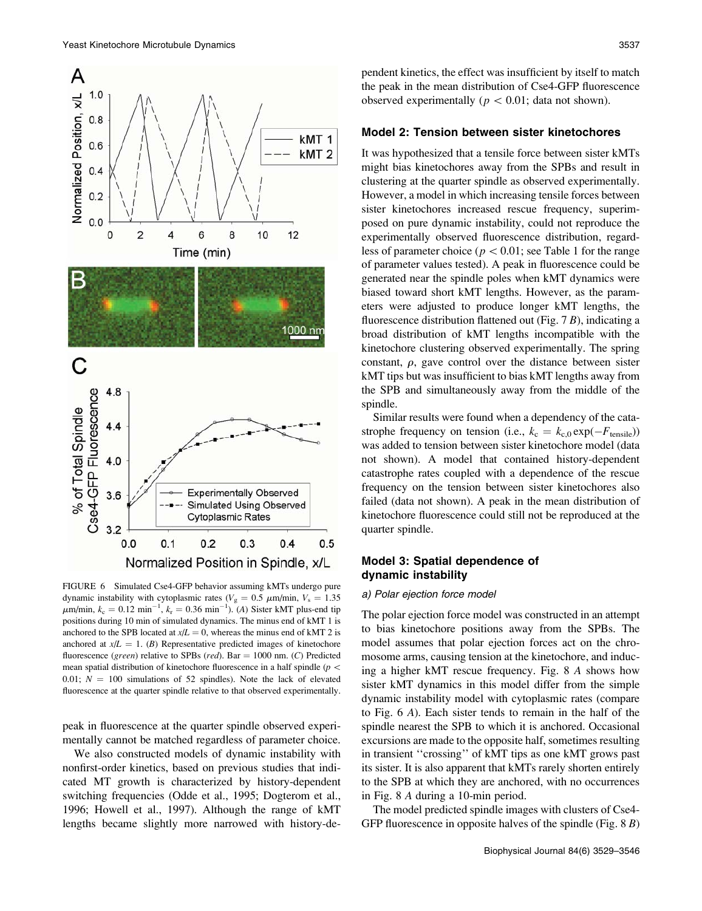

FIGURE 6 Simulated Cse4-GFP behavior assuming kMTs undergo pure dynamic instability with cytoplasmic rates ( $V<sub>g</sub> = 0.5 \mu$ m/min,  $V<sub>s</sub> = 1.35$  $\mu$ m/min,  $k_c = 0.12 \text{ min}^{-1}$ ,  $k_r = 0.36 \text{ min}^{-1}$ ). (A) Sister kMT plus-end tip positions during 10 min of simulated dynamics. The minus end of kMT 1 is anchored to the SPB located at  $x/L = 0$ , whereas the minus end of kMT 2 is anchored at  $x/L = 1$ . (B) Representative predicted images of kinetochore fluorescence (green) relative to SPBs (red). Bar = 1000 nm. (C) Predicted mean spatial distribution of kinetochore fluorescence in a half spindle ( $p$  < 0.01;  $N = 100$  simulations of 52 spindles). Note the lack of elevated fluorescence at the quarter spindle relative to that observed experimentally.

peak in fluorescence at the quarter spindle observed experimentally cannot be matched regardless of parameter choice.

We also constructed models of dynamic instability with nonfirst-order kinetics, based on previous studies that indicated MT growth is characterized by history-dependent switching frequencies (Odde et al., 1995; Dogterom et al., 1996; Howell et al., 1997). Although the range of kMT lengths became slightly more narrowed with history-de-

pendent kinetics, the effect was insufficient by itself to match the peak in the mean distribution of Cse4-GFP fluorescence observed experimentally ( $p < 0.01$ ; data not shown).

### Model 2: Tension between sister kinetochores

It was hypothesized that a tensile force between sister kMTs might bias kinetochores away from the SPBs and result in clustering at the quarter spindle as observed experimentally. However, a model in which increasing tensile forces between sister kinetochores increased rescue frequency, superimposed on pure dynamic instability, could not reproduce the experimentally observed fluorescence distribution, regardless of parameter choice ( $p < 0.01$ ; see Table 1 for the range of parameter values tested). A peak in fluorescence could be generated near the spindle poles when kMT dynamics were biased toward short kMT lengths. However, as the parameters were adjusted to produce longer kMT lengths, the fluorescence distribution flattened out (Fig. 7 B), indicating a broad distribution of kMT lengths incompatible with the kinetochore clustering observed experimentally. The spring constant,  $\rho$ , gave control over the distance between sister kMT tips but was insufficient to bias kMT lengths away from the SPB and simultaneously away from the middle of the spindle.

Similar results were found when a dependency of the catastrophe frequency on tension (i.e.,  $k_c = k_{c,0} \exp(-F_{\text{tensile}})$ ) was added to tension between sister kinetochore model (data not shown). A model that contained history-dependent catastrophe rates coupled with a dependence of the rescue frequency on the tension between sister kinetochores also failed (data not shown). A peak in the mean distribution of kinetochore fluorescence could still not be reproduced at the quarter spindle.

# Model 3: Spatial dependence of dynamic instability

### a) Polar ejection force model

The polar ejection force model was constructed in an attempt to bias kinetochore positions away from the SPBs. The model assumes that polar ejection forces act on the chromosome arms, causing tension at the kinetochore, and inducing a higher kMT rescue frequency. Fig. 8 A shows how sister kMT dynamics in this model differ from the simple dynamic instability model with cytoplasmic rates (compare to Fig. 6 A). Each sister tends to remain in the half of the spindle nearest the SPB to which it is anchored. Occasional excursions are made to the opposite half, sometimes resulting in transient ''crossing'' of kMT tips as one kMT grows past its sister. It is also apparent that kMTs rarely shorten entirely to the SPB at which they are anchored, with no occurrences in Fig. 8 A during a 10-min period.

The model predicted spindle images with clusters of Cse4- GFP fluorescence in opposite halves of the spindle (Fig. 8 B)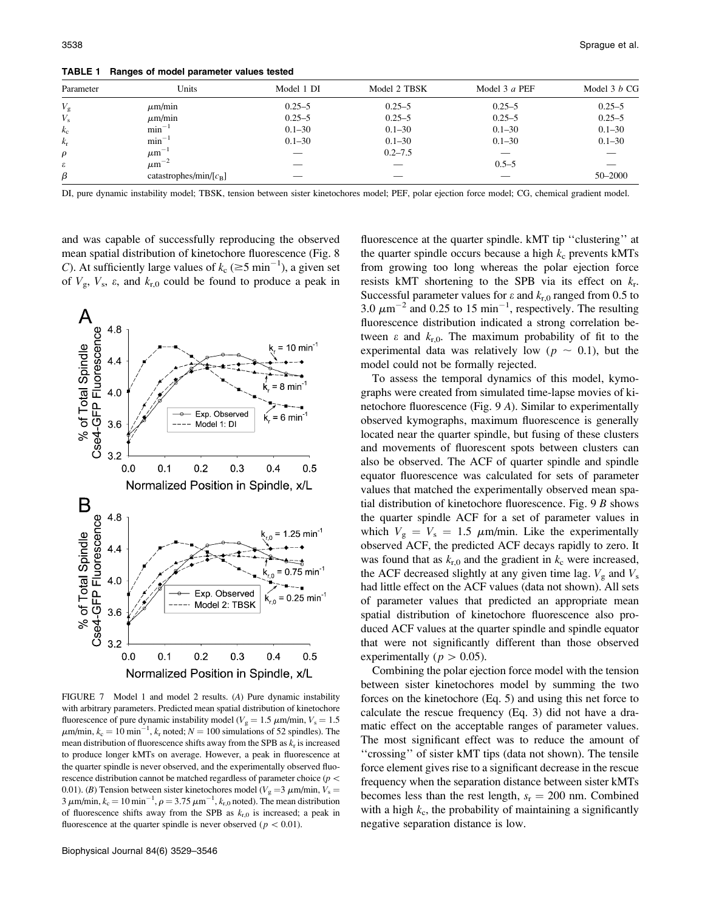TABLE 1 Ranges of model parameter values tested

| Parameter   | Units                       | Model 1 DI | Model 2 TBSK | Model 3 a PEF | Model $3 b CG$ |
|-------------|-----------------------------|------------|--------------|---------------|----------------|
| $V_{\rm g}$ | $\mu$ m/min                 | $0.25 - 5$ | $0.25 - 5$   | $0.25 - 5$    | $0.25 - 5$     |
| $V_{\rm s}$ | $\mu$ m/min                 | $0.25 - 5$ | $0.25 - 5$   | $0.25 - 5$    | $0.25 - 5$     |
| $k_{\rm c}$ | $min^{-1}$                  | $0.1 - 30$ | $0.1 - 30$   | $0.1 - 30$    | $0.1 - 30$     |
| $k_{\rm r}$ | $min^{-1}$                  | $0.1 - 30$ | $0.1 - 30$   | $0.1 - 30$    | $0.1 - 30$     |
| ρ           | $\mu$ m <sup>-1</sup>       |            | $0.2 - 7.5$  |               |                |
| ε           | $\mu$ m <sup>-2</sup>       |            |              | $0.5 - 5$     |                |
| β           | catastrophes/min/ $[c_{B}]$ |            |              |               | 50-2000        |

DI, pure dynamic instability model; TBSK, tension between sister kinetochores model; PEF, polar ejection force model; CG, chemical gradient model.

and was capable of successfully reproducing the observed mean spatial distribution of kinetochore fluorescence (Fig. 8 C). At sufficiently large values of  $k_c \, (\geq 5 \, \text{min}^{-1})$ , a given set of  $V_g$ ,  $V_s$ ,  $\varepsilon$ , and  $k_{r,0}$  could be found to produce a peak in



FIGURE 7 Model 1 and model 2 results. (A) Pure dynamic instability with arbitrary parameters. Predicted mean spatial distribution of kinetochore fluorescence of pure dynamic instability model ( $V<sub>g</sub> = 1.5 \mu$ m/min,  $V<sub>s</sub> = 1.5$  $\mu$ m/min,  $k_c = 10 \text{ min}^{-1}$ ,  $k_r$  noted;  $N = 100$  simulations of 52 spindles). The mean distribution of fluorescence shifts away from the SPB as  $k_r$  is increased to produce longer kMTs on average. However, a peak in fluorescence at the quarter spindle is never observed, and the experimentally observed fluorescence distribution cannot be matched regardless of parameter choice ( $p <$ 0.01). (B) Tension between sister kinetochores model ( $V_g = 3 \mu m/min$ ,  $V_s =$ 3  $\mu$ m/min,  $k_c = 10 \text{ min}^{-1}$ ,  $\rho = 3.75 \mu \text{m}^{-1}$ ,  $k_{r,0}$  noted). The mean distribution of fluorescence shifts away from the SPB as  $k_{r,0}$  is increased; a peak in fluorescence at the quarter spindle is never observed ( $p < 0.01$ ).

fluorescence at the quarter spindle. kMT tip ''clustering'' at the quarter spindle occurs because a high  $k_c$  prevents kMTs from growing too long whereas the polar ejection force resists kMT shortening to the SPB via its effect on  $k_r$ . Successful parameter values for  $\varepsilon$  and  $k_{r,0}$  ranged from 0.5 to 3.0  $\mu$ m<sup>-2</sup> and 0.25 to 15 min<sup>-1</sup>, respectively. The resulting fluorescence distribution indicated a strong correlation between  $\varepsilon$  and  $k_{r,0}$ . The maximum probability of fit to the experimental data was relatively low ( $p \sim 0.1$ ), but the model could not be formally rejected.

To assess the temporal dynamics of this model, kymographs were created from simulated time-lapse movies of kinetochore fluorescence (Fig. 9 A). Similar to experimentally observed kymographs, maximum fluorescence is generally located near the quarter spindle, but fusing of these clusters and movements of fluorescent spots between clusters can also be observed. The ACF of quarter spindle and spindle equator fluorescence was calculated for sets of parameter values that matched the experimentally observed mean spatial distribution of kinetochore fluorescence. Fig. 9 B shows the quarter spindle ACF for a set of parameter values in which  $V_g = V_s = 1.5 \mu m/min$ . Like the experimentally observed ACF, the predicted ACF decays rapidly to zero. It was found that as  $k_{r,0}$  and the gradient in  $k_c$  were increased, the ACF decreased slightly at any given time lag.  $V_g$  and  $V_s$ had little effect on the ACF values (data not shown). All sets of parameter values that predicted an appropriate mean spatial distribution of kinetochore fluorescence also produced ACF values at the quarter spindle and spindle equator that were not significantly different than those observed experimentally ( $p > 0.05$ ).

Combining the polar ejection force model with the tension between sister kinetochores model by summing the two forces on the kinetochore (Eq. 5) and using this net force to calculate the rescue frequency (Eq. 3) did not have a dramatic effect on the acceptable ranges of parameter values. The most significant effect was to reduce the amount of ''crossing'' of sister kMT tips (data not shown). The tensile force element gives rise to a significant decrease in the rescue frequency when the separation distance between sister kMTs becomes less than the rest length,  $s_r = 200$  nm. Combined with a high  $k_c$ , the probability of maintaining a significantly negative separation distance is low.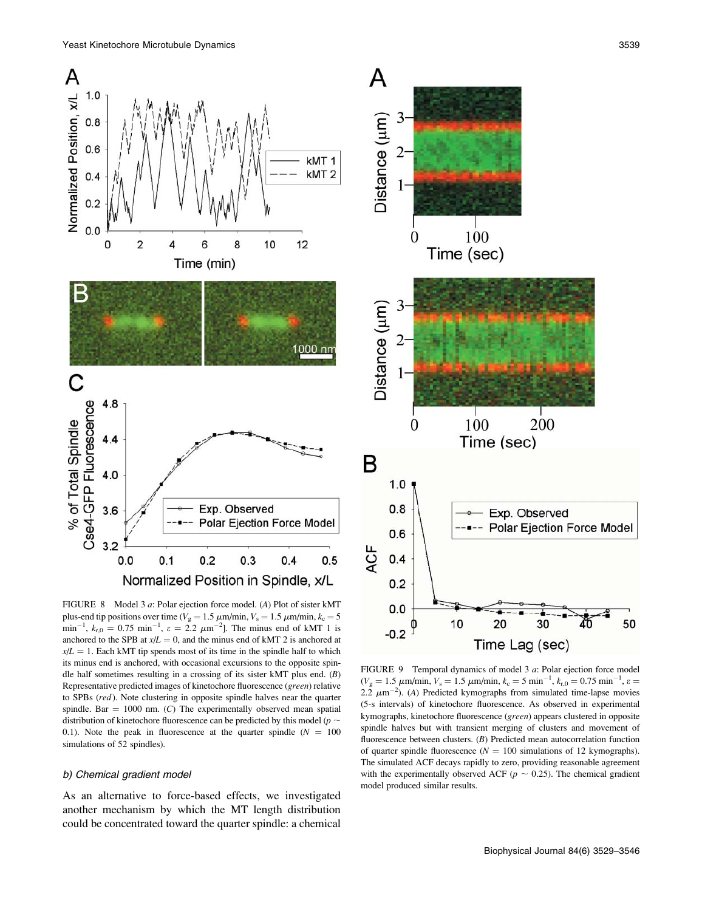

FIGURE 8 Model 3 a: Polar ejection force model. (A) Plot of sister kMT plus-end tip positions over time ( $V_g = 1.5 \mu$ m/min,  $V_s = 1.5 \mu$ m/min,  $k_c = 5$ min<sup>-1</sup>,  $k_{r,0} = 0.75$  min<sup>-1</sup>,  $\varepsilon = 2.2$   $\mu$ m<sup>-2</sup>]. The minus end of kMT 1 is anchored to the SPB at  $x/L = 0$ , and the minus end of kMT 2 is anchored at  $x/L = 1$ . Each kMT tip spends most of its time in the spindle half to which its minus end is anchored, with occasional excursions to the opposite spindle half sometimes resulting in a crossing of its sister kMT plus end.  $(B)$ Representative predicted images of kinetochore fluorescence (green) relative to SPBs (red). Note clustering in opposite spindle halves near the quarter spindle. Bar  $= 1000$  nm. (C) The experimentally observed mean spatial distribution of kinetochore fluorescence can be predicted by this model ( $p \sim$ 0.1). Note the peak in fluorescence at the quarter spindle  $(N = 100$ simulations of 52 spindles).

#### b) Chemical gradient model

As an alternative to force-based effects, we investigated another mechanism by which the MT length distribution could be concentrated toward the quarter spindle: a chemical



FIGURE 9 Temporal dynamics of model 3 a: Polar ejection force model  $(V<sub>g</sub> = 1.5 \mu m/min, V<sub>s</sub> = 1.5 \mu m/min, k<sub>c</sub> = 5 min<sup>-1</sup>, k<sub>r,0</sub> = 0.75 min<sup>-1</sup>, \varepsilon =$ 2.2  $\mu$ m<sup>-2</sup>). (A) Predicted kymographs from simulated time-lapse movies (5-s intervals) of kinetochore fluorescence. As observed in experimental kymographs, kinetochore fluorescence (green) appears clustered in opposite spindle halves but with transient merging of clusters and movement of fluorescence between clusters. (B) Predicted mean autocorrelation function of quarter spindle fluorescence ( $N = 100$  simulations of 12 kymographs). The simulated ACF decays rapidly to zero, providing reasonable agreement with the experimentally observed ACF ( $p \sim 0.25$ ). The chemical gradient model produced similar results.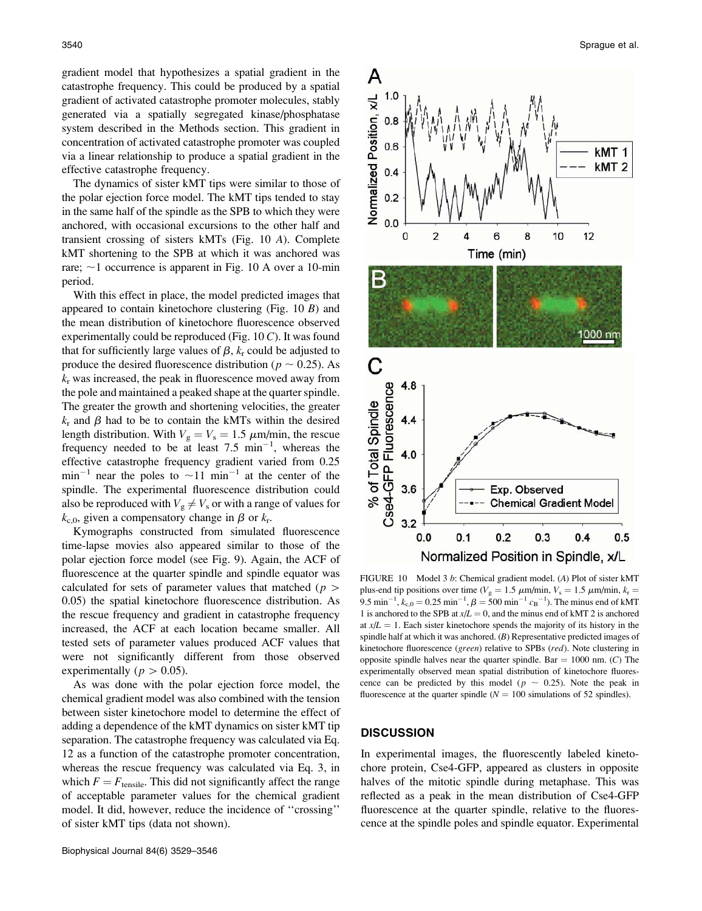gradient model that hypothesizes a spatial gradient in the catastrophe frequency. This could be produced by a spatial gradient of activated catastrophe promoter molecules, stably generated via a spatially segregated kinase/phosphatase system described in the Methods section. This gradient in concentration of activated catastrophe promoter was coupled via a linear relationship to produce a spatial gradient in the effective catastrophe frequency.

The dynamics of sister kMT tips were similar to those of the polar ejection force model. The kMT tips tended to stay in the same half of the spindle as the SPB to which they were anchored, with occasional excursions to the other half and transient crossing of sisters kMTs (Fig. 10 A). Complete kMT shortening to the SPB at which it was anchored was rare;  $\sim$ 1 occurrence is apparent in Fig. 10 A over a 10-min period.

With this effect in place, the model predicted images that appeared to contain kinetochore clustering (Fig. 10 B) and the mean distribution of kinetochore fluorescence observed experimentally could be reproduced (Fig. 10 C). It was found that for sufficiently large values of  $\beta$ ,  $k_r$  could be adjusted to produce the desired fluorescence distribution ( $p \sim 0.25$ ). As  $k_r$  was increased, the peak in fluorescence moved away from the pole and maintained a peaked shape at the quarter spindle. The greater the growth and shortening velocities, the greater  $k_r$  and  $\beta$  had to be to contain the kMTs within the desired length distribution. With  $V_g = V_s = 1.5 \ \mu m/min$ , the rescue frequency needed to be at least  $7.5 \text{ min}^{-1}$ , whereas the effective catastrophe frequency gradient varied from 0.25  $min^{-1}$  near the poles to  $\sim$ 11 min<sup>-1</sup> at the center of the spindle. The experimental fluorescence distribution could also be reproduced with  $V_g \neq V_s$  or with a range of values for  $k_{c,0}$ , given a compensatory change in  $\beta$  or  $k_{r}$ .

Kymographs constructed from simulated fluorescence time-lapse movies also appeared similar to those of the polar ejection force model (see Fig. 9). Again, the ACF of fluorescence at the quarter spindle and spindle equator was calculated for sets of parameter values that matched ( $p >$ 0.05) the spatial kinetochore fluorescence distribution. As the rescue frequency and gradient in catastrophe frequency increased, the ACF at each location became smaller. All tested sets of parameter values produced ACF values that were not significantly different from those observed experimentally ( $p > 0.05$ ).

As was done with the polar ejection force model, the chemical gradient model was also combined with the tension between sister kinetochore model to determine the effect of adding a dependence of the kMT dynamics on sister kMT tip separation. The catastrophe frequency was calculated via Eq. 12 as a function of the catastrophe promoter concentration, whereas the rescue frequency was calculated via Eq. 3, in which  $F = F_{\text{tensile}}$ . This did not significantly affect the range of acceptable parameter values for the chemical gradient model. It did, however, reduce the incidence of ''crossing'' of sister kMT tips (data not shown).



FIGURE 10 Model 3 b: Chemical gradient model. (A) Plot of sister kMT plus-end tip positions over time ( $V_g = 1.5 \mu m/min$ ,  $V_s = 1.5 \mu m/min$ ,  $k_r =$  $9.5 \text{ min}^{-1}$ ,  $k_{\text{c},0} = 0.25 \text{ min}^{-1}$ ,  $\beta = 500 \text{ min}^{-1}$   $c_{\text{B}}^{-1}$ ). The minus end of kMT 1 is anchored to the SPB at  $x/L = 0$ , and the minus end of kMT 2 is anchored at  $x/L = 1$ . Each sister kinetochore spends the majority of its history in the spindle half at which it was anchored. (B) Representative predicted images of kinetochore fluorescence (green) relative to SPBs (red). Note clustering in opposite spindle halves near the quarter spindle. Bar  $= 1000$  nm. (C) The experimentally observed mean spatial distribution of kinetochore fluorescence can be predicted by this model ( $p \sim 0.25$ ). Note the peak in fluorescence at the quarter spindle ( $N = 100$  simulations of 52 spindles).

### **DISCUSSION**

In experimental images, the fluorescently labeled kinetochore protein, Cse4-GFP, appeared as clusters in opposite halves of the mitotic spindle during metaphase. This was reflected as a peak in the mean distribution of Cse4-GFP fluorescence at the quarter spindle, relative to the fluorescence at the spindle poles and spindle equator. Experimental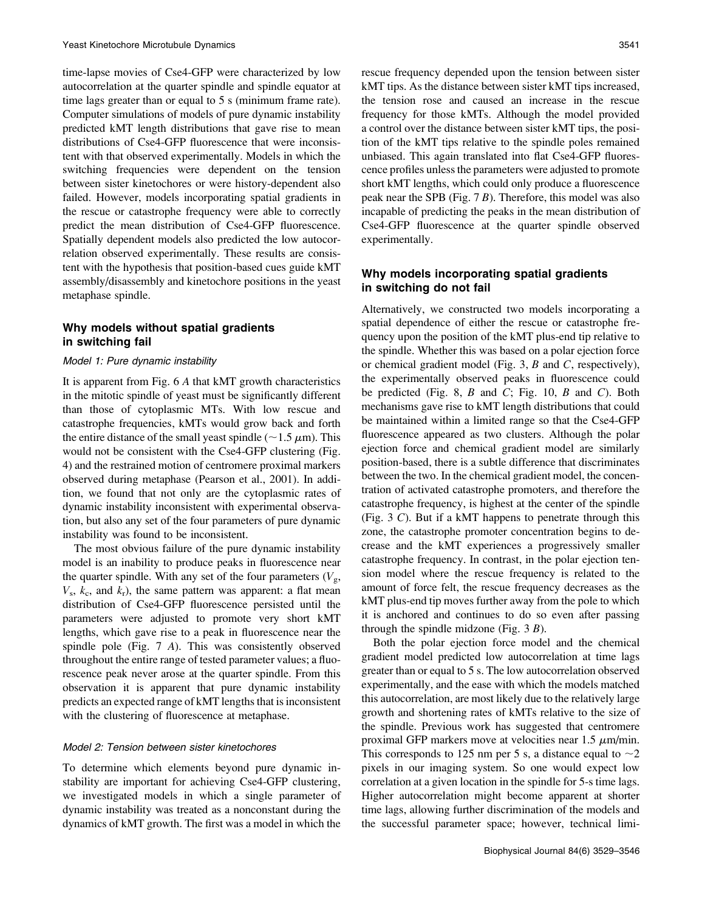time-lapse movies of Cse4-GFP were characterized by low autocorrelation at the quarter spindle and spindle equator at time lags greater than or equal to 5 s (minimum frame rate). Computer simulations of models of pure dynamic instability predicted kMT length distributions that gave rise to mean distributions of Cse4-GFP fluorescence that were inconsistent with that observed experimentally. Models in which the switching frequencies were dependent on the tension between sister kinetochores or were history-dependent also failed. However, models incorporating spatial gradients in the rescue or catastrophe frequency were able to correctly predict the mean distribution of Cse4-GFP fluorescence. Spatially dependent models also predicted the low autocorrelation observed experimentally. These results are consistent with the hypothesis that position-based cues guide kMT assembly/disassembly and kinetochore positions in the yeast metaphase spindle.

# Why models without spatial gradients in switching fail

### Model 1: Pure dynamic instability

It is apparent from Fig. 6 A that kMT growth characteristics in the mitotic spindle of yeast must be significantly different than those of cytoplasmic MTs. With low rescue and catastrophe frequencies, kMTs would grow back and forth the entire distance of the small yeast spindle ( $\sim$ 1.5  $\mu$ m). This would not be consistent with the Cse4-GFP clustering (Fig. 4) and the restrained motion of centromere proximal markers observed during metaphase (Pearson et al., 2001). In addition, we found that not only are the cytoplasmic rates of dynamic instability inconsistent with experimental observation, but also any set of the four parameters of pure dynamic instability was found to be inconsistent.

The most obvious failure of the pure dynamic instability model is an inability to produce peaks in fluorescence near the quarter spindle. With any set of the four parameters  $(V_g,$  $V_s$ ,  $k_c$ , and  $k_r$ ), the same pattern was apparent: a flat mean distribution of Cse4-GFP fluorescence persisted until the parameters were adjusted to promote very short kMT lengths, which gave rise to a peak in fluorescence near the spindle pole (Fig. 7 A). This was consistently observed throughout the entire range of tested parameter values; a fluorescence peak never arose at the quarter spindle. From this observation it is apparent that pure dynamic instability predicts an expected range of kMT lengths that is inconsistent with the clustering of fluorescence at metaphase.

### Model 2: Tension between sister kinetochores

To determine which elements beyond pure dynamic instability are important for achieving Cse4-GFP clustering, we investigated models in which a single parameter of dynamic instability was treated as a nonconstant during the dynamics of kMT growth. The first was a model in which the rescue frequency depended upon the tension between sister kMT tips. As the distance between sister kMT tips increased, the tension rose and caused an increase in the rescue frequency for those kMTs. Although the model provided a control over the distance between sister kMT tips, the position of the kMT tips relative to the spindle poles remained unbiased. This again translated into flat Cse4-GFP fluorescence profiles unless the parameters were adjusted to promote short kMT lengths, which could only produce a fluorescence peak near the SPB (Fig. 7 B). Therefore, this model was also incapable of predicting the peaks in the mean distribution of Cse4-GFP fluorescence at the quarter spindle observed experimentally.

# Why models incorporating spatial gradients in switching do not fail

Alternatively, we constructed two models incorporating a spatial dependence of either the rescue or catastrophe frequency upon the position of the kMT plus-end tip relative to the spindle. Whether this was based on a polar ejection force or chemical gradient model (Fig. 3, B and C, respectively), the experimentally observed peaks in fluorescence could be predicted (Fig. 8,  $B$  and  $C$ ; Fig. 10,  $B$  and  $C$ ). Both mechanisms gave rise to kMT length distributions that could be maintained within a limited range so that the Cse4-GFP fluorescence appeared as two clusters. Although the polar ejection force and chemical gradient model are similarly position-based, there is a subtle difference that discriminates between the two. In the chemical gradient model, the concentration of activated catastrophe promoters, and therefore the catastrophe frequency, is highest at the center of the spindle (Fig. 3  $C$ ). But if a kMT happens to penetrate through this zone, the catastrophe promoter concentration begins to decrease and the kMT experiences a progressively smaller catastrophe frequency. In contrast, in the polar ejection tension model where the rescue frequency is related to the amount of force felt, the rescue frequency decreases as the kMT plus-end tip moves further away from the pole to which it is anchored and continues to do so even after passing through the spindle midzone (Fig.  $3 B$ ).

Both the polar ejection force model and the chemical gradient model predicted low autocorrelation at time lags greater than or equal to 5 s. The low autocorrelation observed experimentally, and the ease with which the models matched this autocorrelation, are most likely due to the relatively large growth and shortening rates of kMTs relative to the size of the spindle. Previous work has suggested that centromere proximal GFP markers move at velocities near  $1.5 \mu$ m/min. This corresponds to 125 nm per 5 s, a distance equal to  $\sim$ 2 pixels in our imaging system. So one would expect low correlation at a given location in the spindle for 5-s time lags. Higher autocorrelation might become apparent at shorter time lags, allowing further discrimination of the models and the successful parameter space; however, technical limi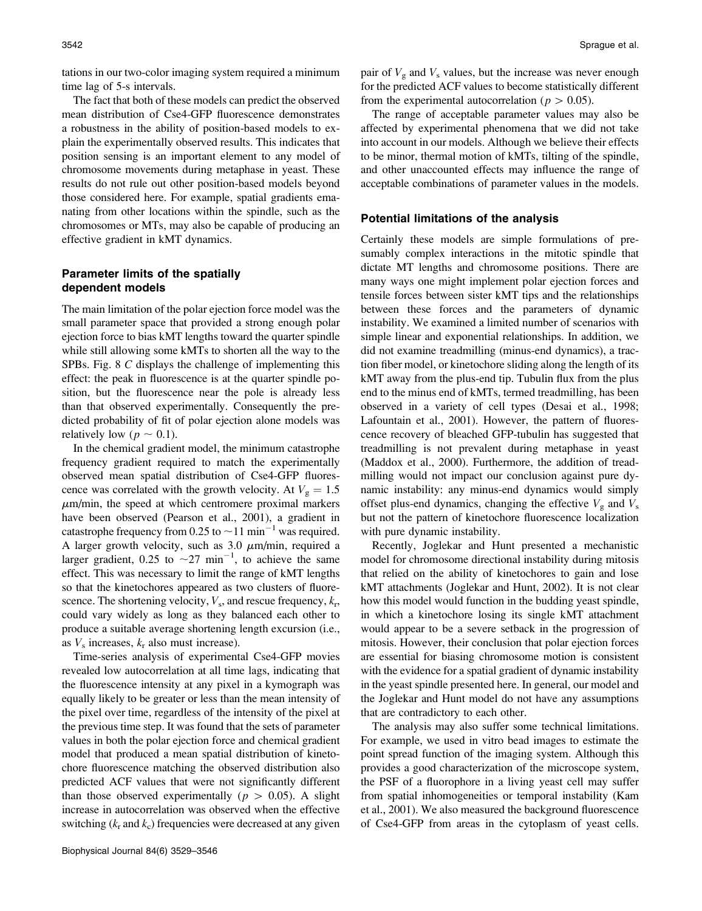tations in our two-color imaging system required a minimum time lag of 5-s intervals.

The fact that both of these models can predict the observed mean distribution of Cse4-GFP fluorescence demonstrates a robustness in the ability of position-based models to explain the experimentally observed results. This indicates that position sensing is an important element to any model of chromosome movements during metaphase in yeast. These results do not rule out other position-based models beyond those considered here. For example, spatial gradients emanating from other locations within the spindle, such as the chromosomes or MTs, may also be capable of producing an effective gradient in kMT dynamics.

# Parameter limits of the spatially dependent models

The main limitation of the polar ejection force model was the small parameter space that provided a strong enough polar ejection force to bias kMT lengths toward the quarter spindle while still allowing some kMTs to shorten all the way to the SPBs. Fig. 8 C displays the challenge of implementing this effect: the peak in fluorescence is at the quarter spindle position, but the fluorescence near the pole is already less than that observed experimentally. Consequently the predicted probability of fit of polar ejection alone models was relatively low ( $p \sim 0.1$ ).

In the chemical gradient model, the minimum catastrophe frequency gradient required to match the experimentally observed mean spatial distribution of Cse4-GFP fluorescence was correlated with the growth velocity. At  $V_g = 1.5$  $\mu$ m/min, the speed at which centromere proximal markers have been observed (Pearson et al., 2001), a gradient in catastrophe frequency from 0.25 to  $\sim$  11 min<sup>-1</sup> was required. A larger growth velocity, such as  $3.0 \mu m/min$ , required a larger gradient, 0.25 to  $\sim$ 27 min<sup>-1</sup>, to achieve the same effect. This was necessary to limit the range of kMT lengths so that the kinetochores appeared as two clusters of fluorescence. The shortening velocity,  $V_s$ , and rescue frequency,  $k_r$ , could vary widely as long as they balanced each other to produce a suitable average shortening length excursion (i.e., as  $V_s$  increases,  $k_r$  also must increase).

Time-series analysis of experimental Cse4-GFP movies revealed low autocorrelation at all time lags, indicating that the fluorescence intensity at any pixel in a kymograph was equally likely to be greater or less than the mean intensity of the pixel over time, regardless of the intensity of the pixel at the previous time step. It was found that the sets of parameter values in both the polar ejection force and chemical gradient model that produced a mean spatial distribution of kinetochore fluorescence matching the observed distribution also predicted ACF values that were not significantly different than those observed experimentally ( $p > 0.05$ ). A slight increase in autocorrelation was observed when the effective switching  $(k_r$  and  $k_c$ ) frequencies were decreased at any given

pair of  $V_g$  and  $V_s$  values, but the increase was never enough for the predicted ACF values to become statistically different from the experimental autocorrelation ( $p > 0.05$ ).

The range of acceptable parameter values may also be affected by experimental phenomena that we did not take into account in our models. Although we believe their effects to be minor, thermal motion of kMTs, tilting of the spindle, and other unaccounted effects may influence the range of acceptable combinations of parameter values in the models.

# Potential limitations of the analysis

Certainly these models are simple formulations of presumably complex interactions in the mitotic spindle that dictate MT lengths and chromosome positions. There are many ways one might implement polar ejection forces and tensile forces between sister kMT tips and the relationships between these forces and the parameters of dynamic instability. We examined a limited number of scenarios with simple linear and exponential relationships. In addition, we did not examine treadmilling (minus-end dynamics), a traction fiber model, or kinetochore sliding along the length of its kMT away from the plus-end tip. Tubulin flux from the plus end to the minus end of kMTs, termed treadmilling, has been observed in a variety of cell types (Desai et al., 1998; Lafountain et al., 2001). However, the pattern of fluorescence recovery of bleached GFP-tubulin has suggested that treadmilling is not prevalent during metaphase in yeast (Maddox et al., 2000). Furthermore, the addition of treadmilling would not impact our conclusion against pure dynamic instability: any minus-end dynamics would simply offset plus-end dynamics, changing the effective  $V<sub>g</sub>$  and  $V<sub>s</sub>$ but not the pattern of kinetochore fluorescence localization with pure dynamic instability.

Recently, Joglekar and Hunt presented a mechanistic model for chromosome directional instability during mitosis that relied on the ability of kinetochores to gain and lose kMT attachments (Joglekar and Hunt, 2002). It is not clear how this model would function in the budding yeast spindle, in which a kinetochore losing its single kMT attachment would appear to be a severe setback in the progression of mitosis. However, their conclusion that polar ejection forces are essential for biasing chromosome motion is consistent with the evidence for a spatial gradient of dynamic instability in the yeast spindle presented here. In general, our model and the Joglekar and Hunt model do not have any assumptions that are contradictory to each other.

The analysis may also suffer some technical limitations. For example, we used in vitro bead images to estimate the point spread function of the imaging system. Although this provides a good characterization of the microscope system, the PSF of a fluorophore in a living yeast cell may suffer from spatial inhomogeneities or temporal instability (Kam et al., 2001). We also measured the background fluorescence of Cse4-GFP from areas in the cytoplasm of yeast cells.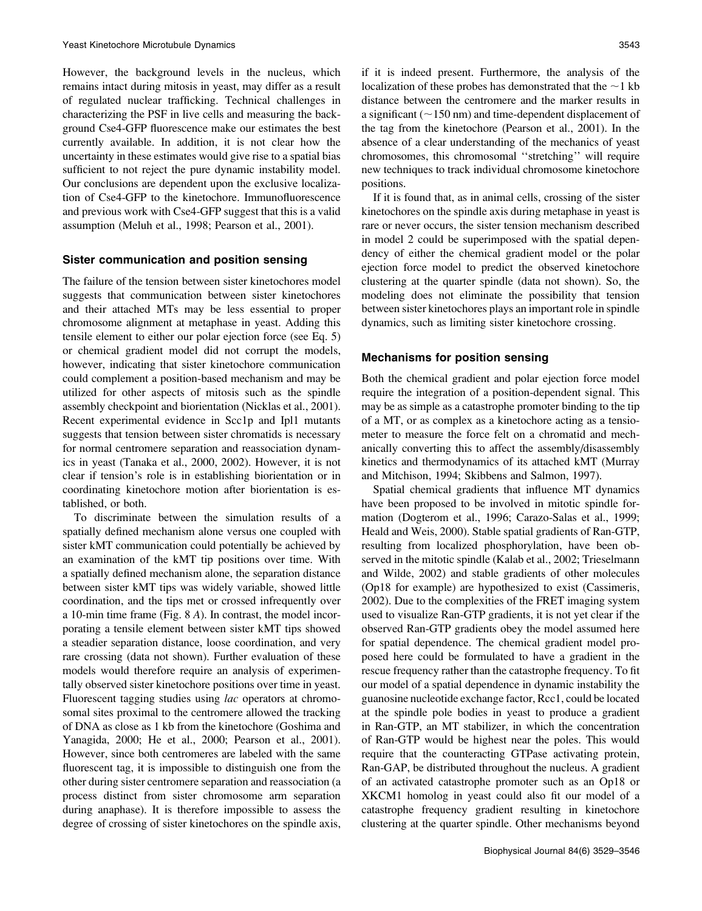However, the background levels in the nucleus, which remains intact during mitosis in yeast, may differ as a result of regulated nuclear trafficking. Technical challenges in characterizing the PSF in live cells and measuring the background Cse4-GFP fluorescence make our estimates the best currently available. In addition, it is not clear how the uncertainty in these estimates would give rise to a spatial bias sufficient to not reject the pure dynamic instability model. Our conclusions are dependent upon the exclusive localization of Cse4-GFP to the kinetochore. Immunofluorescence and previous work with Cse4-GFP suggest that this is a valid assumption (Meluh et al., 1998; Pearson et al., 2001).

### Sister communication and position sensing

The failure of the tension between sister kinetochores model suggests that communication between sister kinetochores and their attached MTs may be less essential to proper chromosome alignment at metaphase in yeast. Adding this tensile element to either our polar ejection force (see Eq. 5) or chemical gradient model did not corrupt the models, however, indicating that sister kinetochore communication could complement a position-based mechanism and may be utilized for other aspects of mitosis such as the spindle assembly checkpoint and biorientation (Nicklas et al., 2001). Recent experimental evidence in Scc1p and Ipl1 mutants suggests that tension between sister chromatids is necessary for normal centromere separation and reassociation dynamics in yeast (Tanaka et al., 2000, 2002). However, it is not clear if tension's role is in establishing biorientation or in coordinating kinetochore motion after biorientation is established, or both.

To discriminate between the simulation results of a spatially defined mechanism alone versus one coupled with sister kMT communication could potentially be achieved by an examination of the kMT tip positions over time. With a spatially defined mechanism alone, the separation distance between sister kMT tips was widely variable, showed little coordination, and the tips met or crossed infrequently over a 10-min time frame (Fig. 8 A). In contrast, the model incorporating a tensile element between sister kMT tips showed a steadier separation distance, loose coordination, and very rare crossing (data not shown). Further evaluation of these models would therefore require an analysis of experimentally observed sister kinetochore positions over time in yeast. Fluorescent tagging studies using *lac* operators at chromosomal sites proximal to the centromere allowed the tracking of DNA as close as 1 kb from the kinetochore (Goshima and Yanagida, 2000; He et al., 2000; Pearson et al., 2001). However, since both centromeres are labeled with the same fluorescent tag, it is impossible to distinguish one from the other during sister centromere separation and reassociation (a process distinct from sister chromosome arm separation during anaphase). It is therefore impossible to assess the degree of crossing of sister kinetochores on the spindle axis, if it is indeed present. Furthermore, the analysis of the localization of these probes has demonstrated that the  $\sim$ 1 kb distance between the centromere and the marker results in a significant  $(\sim150 \text{ nm})$  and time-dependent displacement of the tag from the kinetochore (Pearson et al., 2001). In the absence of a clear understanding of the mechanics of yeast chromosomes, this chromosomal ''stretching'' will require new techniques to track individual chromosome kinetochore positions.

If it is found that, as in animal cells, crossing of the sister kinetochores on the spindle axis during metaphase in yeast is rare or never occurs, the sister tension mechanism described in model 2 could be superimposed with the spatial dependency of either the chemical gradient model or the polar ejection force model to predict the observed kinetochore clustering at the quarter spindle (data not shown). So, the modeling does not eliminate the possibility that tension between sister kinetochores plays an important role in spindle dynamics, such as limiting sister kinetochore crossing.

### Mechanisms for position sensing

Both the chemical gradient and polar ejection force model require the integration of a position-dependent signal. This may be as simple as a catastrophe promoter binding to the tip of a MT, or as complex as a kinetochore acting as a tensiometer to measure the force felt on a chromatid and mechanically converting this to affect the assembly/disassembly kinetics and thermodynamics of its attached kMT (Murray and Mitchison, 1994; Skibbens and Salmon, 1997).

Spatial chemical gradients that influence MT dynamics have been proposed to be involved in mitotic spindle formation (Dogterom et al., 1996; Carazo-Salas et al., 1999; Heald and Weis, 2000). Stable spatial gradients of Ran-GTP, resulting from localized phosphorylation, have been observed in the mitotic spindle (Kalab et al., 2002; Trieselmann and Wilde, 2002) and stable gradients of other molecules (Op18 for example) are hypothesized to exist (Cassimeris, 2002). Due to the complexities of the FRET imaging system used to visualize Ran-GTP gradients, it is not yet clear if the observed Ran-GTP gradients obey the model assumed here for spatial dependence. The chemical gradient model proposed here could be formulated to have a gradient in the rescue frequency rather than the catastrophe frequency. To fit our model of a spatial dependence in dynamic instability the guanosine nucleotide exchange factor, Rcc1, could be located at the spindle pole bodies in yeast to produce a gradient in Ran-GTP, an MT stabilizer, in which the concentration of Ran-GTP would be highest near the poles. This would require that the counteracting GTPase activating protein, Ran-GAP, be distributed throughout the nucleus. A gradient of an activated catastrophe promoter such as an Op18 or XKCM1 homolog in yeast could also fit our model of a catastrophe frequency gradient resulting in kinetochore clustering at the quarter spindle. Other mechanisms beyond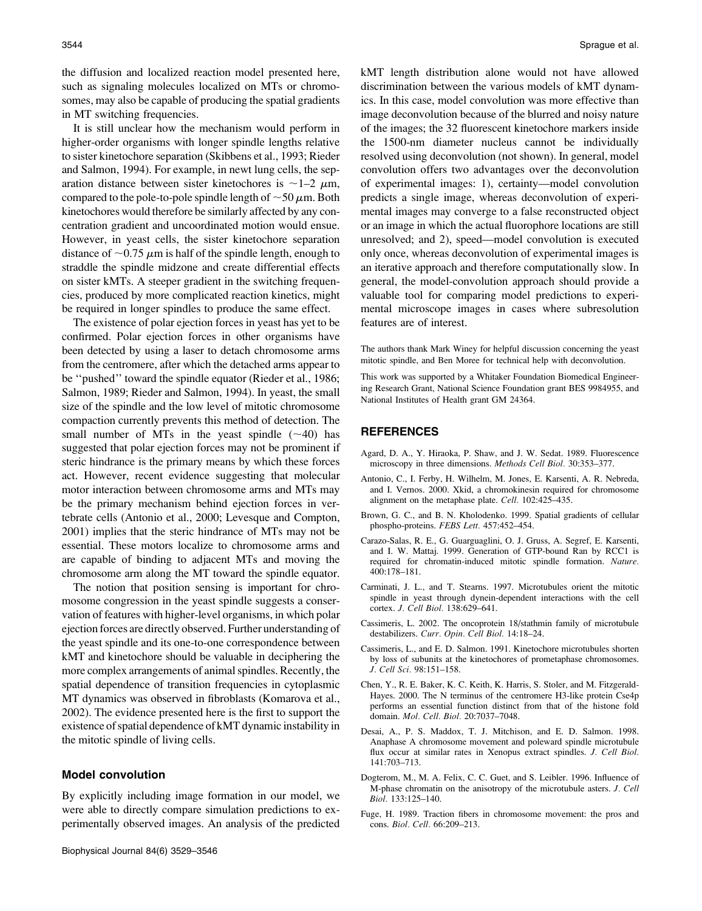the diffusion and localized reaction model presented here, such as signaling molecules localized on MTs or chromosomes, may also be capable of producing the spatial gradients in MT switching frequencies.

It is still unclear how the mechanism would perform in higher-order organisms with longer spindle lengths relative to sister kinetochore separation (Skibbens et al., 1993; Rieder and Salmon, 1994). For example, in newt lung cells, the separation distance between sister kinetochores is  $\sim$ 1–2  $\mu$ m, compared to the pole-to-pole spindle length of  $\sim$  50  $\mu$ m. Both kinetochores would therefore be similarly affected by any concentration gradient and uncoordinated motion would ensue. However, in yeast cells, the sister kinetochore separation distance of  $\sim$ 0.75  $\mu$ m is half of the spindle length, enough to straddle the spindle midzone and create differential effects on sister kMTs. A steeper gradient in the switching frequencies, produced by more complicated reaction kinetics, might be required in longer spindles to produce the same effect.

The existence of polar ejection forces in yeast has yet to be confirmed. Polar ejection forces in other organisms have been detected by using a laser to detach chromosome arms from the centromere, after which the detached arms appear to be ''pushed'' toward the spindle equator (Rieder et al., 1986; Salmon, 1989; Rieder and Salmon, 1994). In yeast, the small size of the spindle and the low level of mitotic chromosome compaction currently prevents this method of detection. The small number of MTs in the yeast spindle  $(\sim 40)$  has suggested that polar ejection forces may not be prominent if steric hindrance is the primary means by which these forces act. However, recent evidence suggesting that molecular motor interaction between chromosome arms and MTs may be the primary mechanism behind ejection forces in vertebrate cells (Antonio et al., 2000; Levesque and Compton, 2001) implies that the steric hindrance of MTs may not be essential. These motors localize to chromosome arms and are capable of binding to adjacent MTs and moving the chromosome arm along the MT toward the spindle equator.

The notion that position sensing is important for chromosome congression in the yeast spindle suggests a conservation of features with higher-level organisms, in which polar ejection forces are directly observed. Further understanding of the yeast spindle and its one-to-one correspondence between kMT and kinetochore should be valuable in deciphering the more complex arrangements of animal spindles. Recently, the spatial dependence of transition frequencies in cytoplasmic MT dynamics was observed in fibroblasts (Komarova et al., 2002). The evidence presented here is the first to support the existence of spatial dependence of kMT dynamic instability in the mitotic spindle of living cells.

### Model convolution

By explicitly including image formation in our model, we were able to directly compare simulation predictions to experimentally observed images. An analysis of the predicted kMT length distribution alone would not have allowed discrimination between the various models of kMT dynamics. In this case, model convolution was more effective than image deconvolution because of the blurred and noisy nature of the images; the 32 fluorescent kinetochore markers inside the 1500-nm diameter nucleus cannot be individually resolved using deconvolution (not shown). In general, model convolution offers two advantages over the deconvolution of experimental images: 1), certainty—model convolution predicts a single image, whereas deconvolution of experimental images may converge to a false reconstructed object or an image in which the actual fluorophore locations are still unresolved; and 2), speed—model convolution is executed only once, whereas deconvolution of experimental images is an iterative approach and therefore computationally slow. In general, the model-convolution approach should provide a valuable tool for comparing model predictions to experimental microscope images in cases where subresolution features are of interest.

The authors thank Mark Winey for helpful discussion concerning the yeast mitotic spindle, and Ben Moree for technical help with deconvolution.

This work was supported by a Whitaker Foundation Biomedical Engineering Research Grant, National Science Foundation grant BES 9984955, and National Institutes of Health grant GM 24364.

### **REFERENCES**

- Agard, D. A., Y. Hiraoka, P. Shaw, and J. W. Sedat. 1989. Fluorescence microscopy in three dimensions. Methods Cell Biol. 30:353–377.
- Antonio, C., I. Ferby, H. Wilhelm, M. Jones, E. Karsenti, A. R. Nebreda, and I. Vernos. 2000. Xkid, a chromokinesin required for chromosome alignment on the metaphase plate. Cell. 102:425–435.
- Brown, G. C., and B. N. Kholodenko. 1999. Spatial gradients of cellular phospho-proteins. FEBS Lett. 457:452–454.
- Carazo-Salas, R. E., G. Guarguaglini, O. J. Gruss, A. Segref, E. Karsenti, and I. W. Mattaj. 1999. Generation of GTP-bound Ran by RCC1 is required for chromatin-induced mitotic spindle formation. Nature. 400:178–181.
- Carminati, J. L., and T. Stearns. 1997. Microtubules orient the mitotic spindle in yeast through dynein-dependent interactions with the cell cortex. J. Cell Biol. 138:629–641.
- Cassimeris, L. 2002. The oncoprotein 18/stathmin family of microtubule destabilizers. Curr. Opin. Cell Biol. 14:18–24.
- Cassimeris, L., and E. D. Salmon. 1991. Kinetochore microtubules shorten by loss of subunits at the kinetochores of prometaphase chromosomes. J. Cell Sci. 98:151–158.
- Chen, Y., R. E. Baker, K. C. Keith, K. Harris, S. Stoler, and M. Fitzgerald-Hayes. 2000. The N terminus of the centromere H3-like protein Cse4p performs an essential function distinct from that of the histone fold domain. Mol. Cell. Biol. 20:7037–7048.
- Desai, A., P. S. Maddox, T. J. Mitchison, and E. D. Salmon. 1998. Anaphase A chromosome movement and poleward spindle microtubule flux occur at similar rates in Xenopus extract spindles. J. Cell Biol. 141:703–713.
- Dogterom, M., M. A. Felix, C. C. Guet, and S. Leibler. 1996. Influence of M-phase chromatin on the anisotropy of the microtubule asters. J. Cell Biol. 133:125–140.
- Fuge, H. 1989. Traction fibers in chromosome movement: the pros and cons. Biol. Cell. 66:209–213.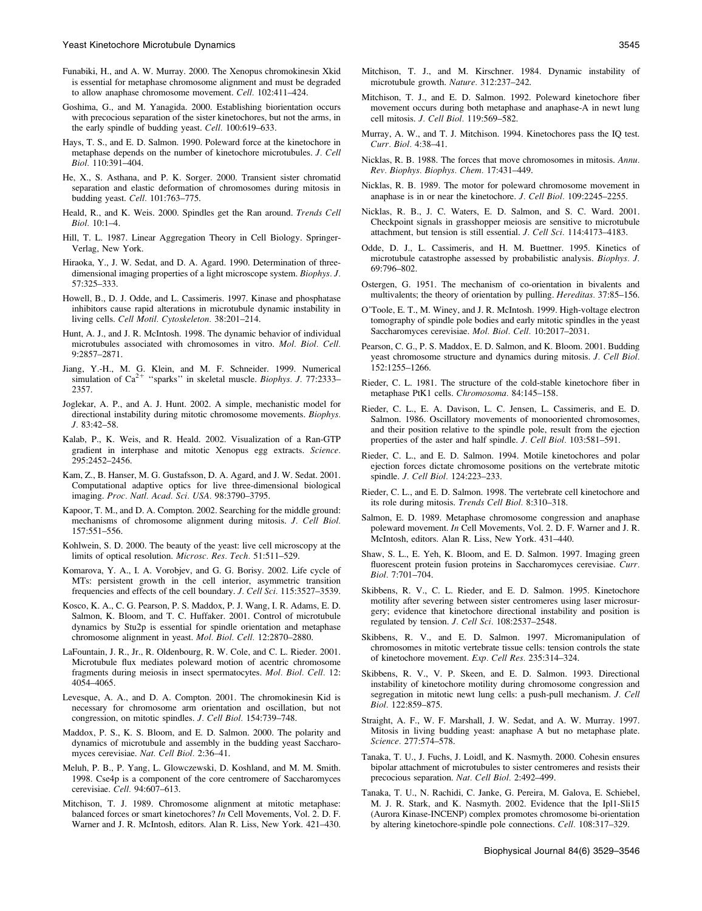- Funabiki, H., and A. W. Murray. 2000. The Xenopus chromokinesin Xkid is essential for metaphase chromosome alignment and must be degraded to allow anaphase chromosome movement. Cell. 102:411–424.
- Goshima, G., and M. Yanagida. 2000. Establishing biorientation occurs with precocious separation of the sister kinetochores, but not the arms, in the early spindle of budding yeast. Cell. 100:619–633.
- Hays, T. S., and E. D. Salmon. 1990. Poleward force at the kinetochore in metaphase depends on the number of kinetochore microtubules. J. Cell Biol. 110:391–404.
- He, X., S. Asthana, and P. K. Sorger. 2000. Transient sister chromatid separation and elastic deformation of chromosomes during mitosis in budding yeast. Cell. 101:763–775.
- Heald, R., and K. Weis. 2000. Spindles get the Ran around. Trends Cell Biol. 10:1–4.
- Hill, T. L. 1987. Linear Aggregation Theory in Cell Biology. Springer-Verlag, New York.
- Hiraoka, Y., J. W. Sedat, and D. A. Agard. 1990. Determination of threedimensional imaging properties of a light microscope system. Biophys. J. 57:325–333.
- Howell, B., D. J. Odde, and L. Cassimeris. 1997. Kinase and phosphatase inhibitors cause rapid alterations in microtubule dynamic instability in living cells. Cell Motil. Cytoskeleton. 38:201–214.
- Hunt, A. J., and J. R. McIntosh. 1998. The dynamic behavior of individual microtubules associated with chromosomes in vitro. Mol. Biol. Cell. 9:2857–2871.
- Jiang, Y.-H., M. G. Klein, and M. F. Schneider. 1999. Numerical simulation of  $Ca^{2+}$  "sparks" in skeletal muscle. Biophys. J. 77:2333-2357.
- Joglekar, A. P., and A. J. Hunt. 2002. A simple, mechanistic model for directional instability during mitotic chromosome movements. Biophys. J. 83:42–58.
- Kalab, P., K. Weis, and R. Heald. 2002. Visualization of a Ran-GTP gradient in interphase and mitotic Xenopus egg extracts. Science. 295:2452–2456.
- Kam, Z., B. Hanser, M. G. Gustafsson, D. A. Agard, and J. W. Sedat. 2001. Computational adaptive optics for live three-dimensional biological imaging. Proc. Natl. Acad. Sci. USA. 98:3790–3795.
- Kapoor, T. M., and D. A. Compton. 2002. Searching for the middle ground: mechanisms of chromosome alignment during mitosis. J. Cell Biol. 157:551–556.
- Kohlwein, S. D. 2000. The beauty of the yeast: live cell microscopy at the limits of optical resolution. Microsc. Res. Tech. 51:511–529.
- Komarova, Y. A., I. A. Vorobjev, and G. G. Borisy. 2002. Life cycle of MTs: persistent growth in the cell interior, asymmetric transition frequencies and effects of the cell boundary. J. Cell Sci. 115:3527–3539.
- Kosco, K. A., C. G. Pearson, P. S. Maddox, P. J. Wang, I. R. Adams, E. D. Salmon, K. Bloom, and T. C. Huffaker. 2001. Control of microtubule dynamics by Stu2p is essential for spindle orientation and metaphase chromosome alignment in yeast. Mol. Biol. Cell. 12:2870–2880.
- LaFountain, J. R., Jr., R. Oldenbourg, R. W. Cole, and C. L. Rieder. 2001. Microtubule flux mediates poleward motion of acentric chromosome fragments during meiosis in insect spermatocytes. Mol. Biol. Cell. 12: 4054–4065.
- Levesque, A. A., and D. A. Compton. 2001. The chromokinesin Kid is necessary for chromosome arm orientation and oscillation, but not congression, on mitotic spindles. J. Cell Biol. 154:739–748.
- Maddox, P. S., K. S. Bloom, and E. D. Salmon. 2000. The polarity and dynamics of microtubule and assembly in the budding yeast Saccharomyces cerevisiae. Nat. Cell Biol. 2:36–41.
- Meluh, P. B., P. Yang, L. Glowczewski, D. Koshland, and M. M. Smith. 1998. Cse4p is a component of the core centromere of Saccharomyces cerevisiae. Cell. 94:607–613.
- Mitchison, T. J. 1989. Chromosome alignment at mitotic metaphase: balanced forces or smart kinetochores? In Cell Movements, Vol. 2. D. F. Warner and J. R. McIntosh, editors. Alan R. Liss, New York. 421–430.
- Mitchison, T. J., and M. Kirschner. 1984. Dynamic instability of microtubule growth. Nature. 312:237–242.
- Mitchison, T. J., and E. D. Salmon. 1992. Poleward kinetochore fiber movement occurs during both metaphase and anaphase-A in newt lung cell mitosis. J. Cell Biol. 119:569–582.
- Murray, A. W., and T. J. Mitchison. 1994. Kinetochores pass the IQ test. Curr. Biol. 4:38–41.
- Nicklas, R. B. 1988. The forces that move chromosomes in mitosis. Annu. Rev. Biophys. Biophys. Chem. 17:431–449.
- Nicklas, R. B. 1989. The motor for poleward chromosome movement in anaphase is in or near the kinetochore. J. Cell Biol. 109:2245–2255.
- Nicklas, R. B., J. C. Waters, E. D. Salmon, and S. C. Ward. 2001. Checkpoint signals in grasshopper meiosis are sensitive to microtubule attachment, but tension is still essential. J. Cell Sci. 114:4173–4183.
- Odde, D. J., L. Cassimeris, and H. M. Buettner. 1995. Kinetics of microtubule catastrophe assessed by probabilistic analysis. Biophys. J. 69:796–802.
- Ostergen, G. 1951. The mechanism of co-orientation in bivalents and multivalents; the theory of orientation by pulling. Hereditas. 37:85–156.
- O'Toole, E. T., M. Winey, and J. R. McIntosh. 1999. High-voltage electron tomography of spindle pole bodies and early mitotic spindles in the yeast Saccharomyces cerevisiae. Mol. Biol. Cell. 10:2017–2031.
- Pearson, C. G., P. S. Maddox, E. D. Salmon, and K. Bloom. 2001. Budding yeast chromosome structure and dynamics during mitosis. J. Cell Biol. 152:1255–1266.
- Rieder, C. L. 1981. The structure of the cold-stable kinetochore fiber in metaphase PtK1 cells. Chromosoma. 84:145–158.
- Rieder, C. L., E. A. Davison, L. C. Jensen, L. Cassimeris, and E. D. Salmon. 1986. Oscillatory movements of monooriented chromosomes, and their position relative to the spindle pole, result from the ejection properties of the aster and half spindle. J. Cell Biol. 103:581–591.
- Rieder, C. L., and E. D. Salmon. 1994. Motile kinetochores and polar ejection forces dictate chromosome positions on the vertebrate mitotic spindle. J. Cell Biol. 124:223–233.
- Rieder, C. L., and E. D. Salmon. 1998. The vertebrate cell kinetochore and its role during mitosis. Trends Cell Biol. 8:310–318.
- Salmon, E. D. 1989. Metaphase chromosome congression and anaphase poleward movement. In Cell Movements, Vol. 2. D. F. Warner and J. R. McIntosh, editors. Alan R. Liss, New York. 431–440.
- Shaw, S. L., E. Yeh, K. Bloom, and E. D. Salmon. 1997. Imaging green fluorescent protein fusion proteins in Saccharomyces cerevisiae. Curr. Biol. 7:701–704.
- Skibbens, R. V., C. L. Rieder, and E. D. Salmon. 1995. Kinetochore motility after severing between sister centromeres using laser microsurgery; evidence that kinetochore directional instability and position is regulated by tension. J. Cell Sci. 108:2537–2548.
- Skibbens, R. V., and E. D. Salmon. 1997. Micromanipulation of chromosomes in mitotic vertebrate tissue cells: tension controls the state of kinetochore movement. Exp. Cell Res. 235:314–324.
- Skibbens, R. V., V. P. Skeen, and E. D. Salmon. 1993. Directional instability of kinetochore motility during chromosome congression and segregation in mitotic newt lung cells: a push-pull mechanism. J. Cell Biol. 122:859–875.
- Straight, A. F., W. F. Marshall, J. W. Sedat, and A. W. Murray. 1997. Mitosis in living budding yeast: anaphase A but no metaphase plate. Science. 277:574–578.
- Tanaka, T. U., J. Fuchs, J. Loidl, and K. Nasmyth. 2000. Cohesin ensures bipolar attachment of microtubules to sister centromeres and resists their precocious separation. Nat. Cell Biol. 2:492–499.
- Tanaka, T. U., N. Rachidi, C. Janke, G. Pereira, M. Galova, E. Schiebel, M. J. R. Stark, and K. Nasmyth. 2002. Evidence that the Ipl1-Sli15 (Aurora Kinase-INCENP) complex promotes chromosome bi-orientation by altering kinetochore-spindle pole connections. Cell. 108:317–329.